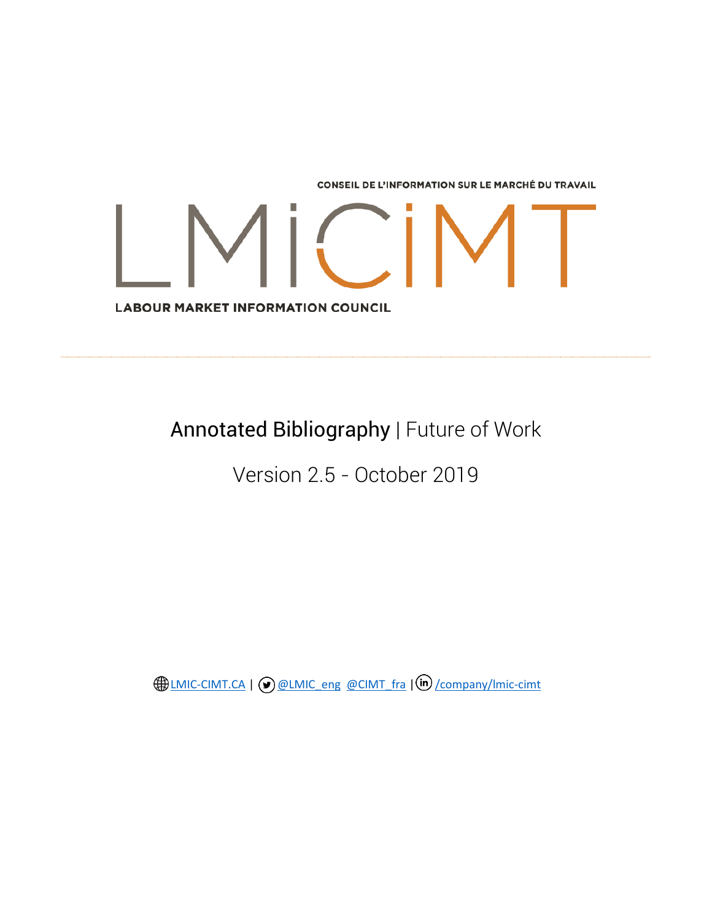**CONSEIL DE L'INFORMATION SUR LE MARCHÉ DU TRAVAIL** 

**LABOUR MARKET INFORMATION COUNCIL** 

Annotated Bibliography | Future of Work

Version 2.5 - October 2019

**ED [LMIC-CIMT.CA](https://lmic-cimt.ca/) | @ [@LMIC\\_eng](https://twitter.com/lmic_eng) [@CIMT\\_fra](https://twitter.com/CIMT_fra) | (in) [/company/lmic-cimt](https://www.linkedin.com/company/lmic-cimt/)**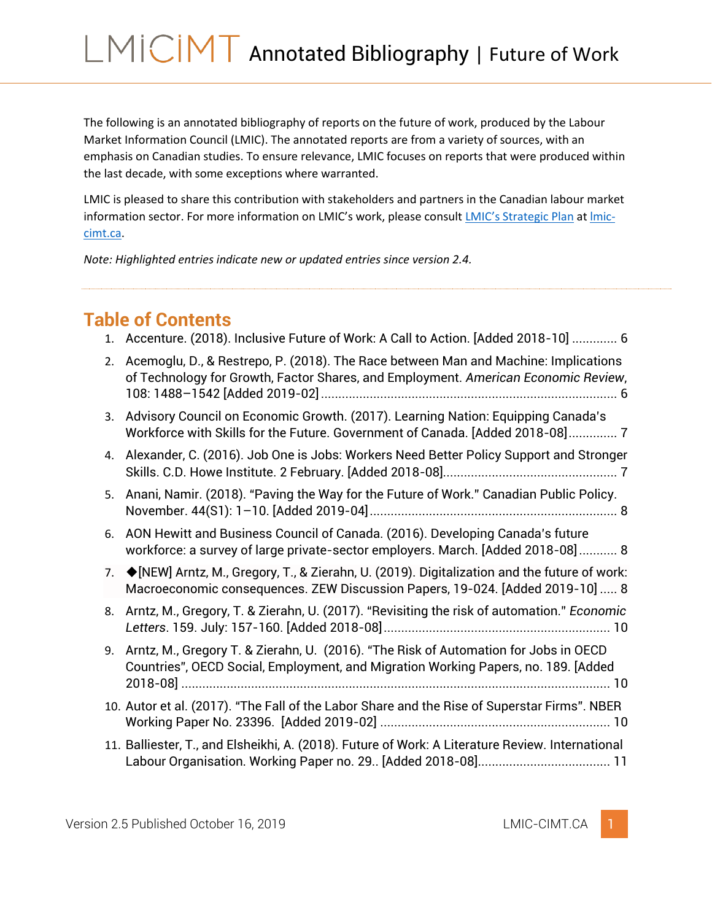The following is an annotated bibliography of reports on the future of work, produced by the Labour Market Information Council (LMIC). The annotated reports are from a variety of sources, with an emphasis on Canadian studies. To ensure relevance, LMIC focuses on reports that were produced within the last decade, with some exceptions where warranted.

LMIC is pleased to share this contribution with stakeholders and partners in the Canadian labour market information sector. For more information on LMIC's work, please consult *LMIC's Strategic Plan* at *Imic*[cimt.ca.](http://www.lmic-cimt.ca/)

*Note: Highlighted entries indicate new or updated entries since version 2.4.*

## **Table of Contents**

| 1. | Accenture. (2018). Inclusive Future of Work: A Call to Action. [Added 2018-10]  6                                                                                             |
|----|-------------------------------------------------------------------------------------------------------------------------------------------------------------------------------|
| 2. | Acemoglu, D., & Restrepo, P. (2018). The Race between Man and Machine: Implications<br>of Technology for Growth, Factor Shares, and Employment. American Economic Review,     |
| 3. | Advisory Council on Economic Growth. (2017). Learning Nation: Equipping Canada's<br>Workforce with Skills for the Future. Government of Canada. [Added 2018-08] 7             |
| 4. | Alexander, C. (2016). Job One is Jobs: Workers Need Better Policy Support and Stronger                                                                                        |
| 5. | Anani, Namir. (2018). "Paving the Way for the Future of Work." Canadian Public Policy.                                                                                        |
| 6. | AON Hewitt and Business Council of Canada. (2016). Developing Canada's future<br>workforce: a survey of large private-sector employers. March. [Added 2018-08] 8              |
| 7. | ◆ [NEW] Arntz, M., Gregory, T., & Zierahn, U. (2019). Digitalization and the future of work:<br>Macroeconomic consequences. ZEW Discussion Papers, 19-024. [Added 2019-10]  8 |
| 8. | Arntz, M., Gregory, T. & Zierahn, U. (2017). "Revisiting the risk of automation." Economic                                                                                    |
| 9. | Arntz, M., Gregory T. & Zierahn, U. (2016). "The Risk of Automation for Jobs in OECD<br>Countries", OECD Social, Employment, and Migration Working Papers, no. 189. [Added    |
|    | 10. Autor et al. (2017). "The Fall of the Labor Share and the Rise of Superstar Firms". NBER                                                                                  |
|    | 11. Balliester, T., and Elsheikhi, A. (2018). Future of Work: A Literature Review. International                                                                              |
|    |                                                                                                                                                                               |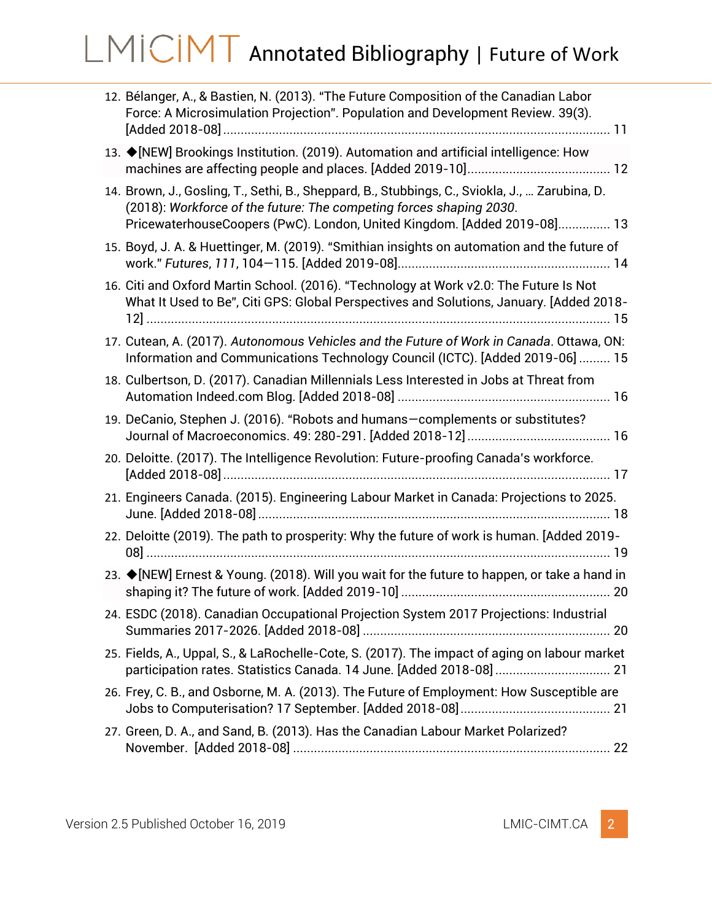| 12. Bélanger, A., & Bastien, N. (2013). "The Future Composition of the Canadian Labor<br>Force: A Microsimulation Projection". Population and Development Review. 39(3).                                                                          |
|---------------------------------------------------------------------------------------------------------------------------------------------------------------------------------------------------------------------------------------------------|
| 13. ♦ [NEW] Brookings Institution. (2019). Automation and artificial intelligence: How                                                                                                                                                            |
| 14. Brown, J., Gosling, T., Sethi, B., Sheppard, B., Stubbings, C., Sviokla, J.,  Zarubina, D.<br>(2018): Workforce of the future: The competing forces shaping 2030.<br>PricewaterhouseCoopers (PwC). London, United Kingdom. [Added 2019-08] 13 |
| 15. Boyd, J. A. & Huettinger, M. (2019). "Smithian insights on automation and the future of                                                                                                                                                       |
| 16. Citi and Oxford Martin School. (2016). "Technology at Work v2.0: The Future Is Not<br>What It Used to Be", Citi GPS: Global Perspectives and Solutions, January. [Added 2018-                                                                 |
| 17. Cutean, A. (2017). Autonomous Vehicles and the Future of Work in Canada. Ottawa, ON:<br>Information and Communications Technology Council (ICTC). [Added 2019-06]  15                                                                         |
| 18. Culbertson, D. (2017). Canadian Millennials Less Interested in Jobs at Threat from                                                                                                                                                            |
| 19. DeCanio, Stephen J. (2016). "Robots and humans-complements or substitutes?                                                                                                                                                                    |
| 20. Deloitte. (2017). The Intelligence Revolution: Future-proofing Canada's workforce.                                                                                                                                                            |
| 21. Engineers Canada. (2015). Engineering Labour Market in Canada: Projections to 2025.                                                                                                                                                           |
| 22. Deloitte (2019). The path to prosperity: Why the future of work is human. [Added 2019-                                                                                                                                                        |
| 23. ♦ [NEW] Ernest & Young. (2018). Will you wait for the future to happen, or take a hand in                                                                                                                                                     |
| 24. ESDC (2018). Canadian Occupational Projection System 2017 Projections: Industrial                                                                                                                                                             |
| 25. Fields, A., Uppal, S., & LaRochelle-Cote, S. (2017). The impact of aging on labour market<br>participation rates. Statistics Canada. 14 June. [Added 2018-08]  21                                                                             |
| 26. Frey, C. B., and Osborne, M. A. (2013). The Future of Employment: How Susceptible are                                                                                                                                                         |
| 27. Green, D. A., and Sand, B. (2013). Has the Canadian Labour Market Polarized?                                                                                                                                                                  |
|                                                                                                                                                                                                                                                   |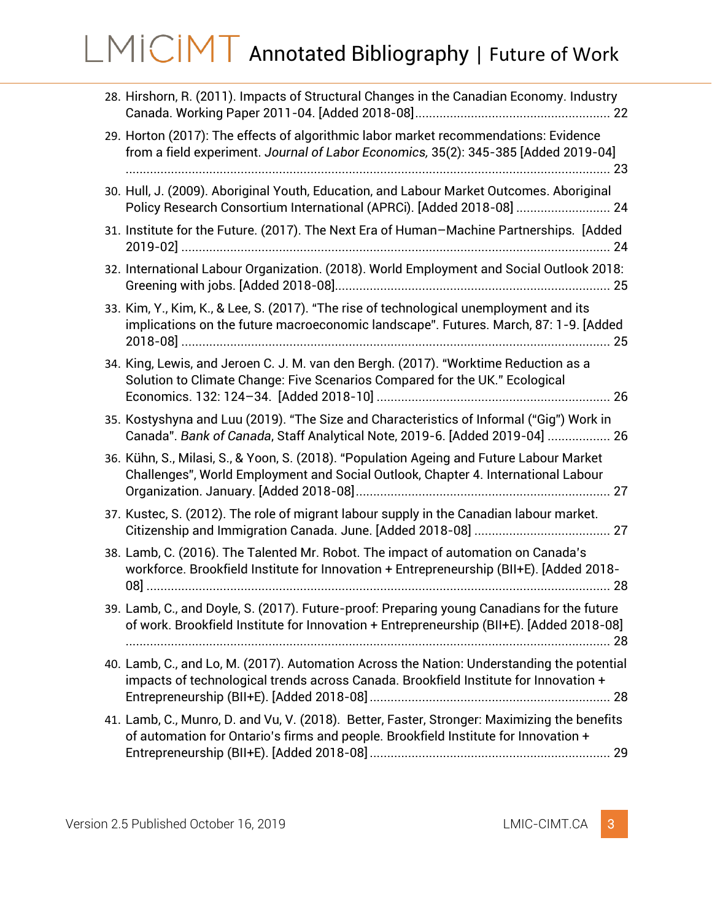| 28. Hirshorn, R. (2011). Impacts of Structural Changes in the Canadian Economy. Industry                                                                                               |
|----------------------------------------------------------------------------------------------------------------------------------------------------------------------------------------|
| 29. Horton (2017): The effects of algorithmic labor market recommendations: Evidence<br>from a field experiment. Journal of Labor Economics, 35(2): 345-385 [Added 2019-04]            |
| 30. Hull, J. (2009). Aboriginal Youth, Education, and Labour Market Outcomes. Aboriginal<br>Policy Research Consortium International (APRCi). [Added 2018-08]  24                      |
| 31. Institute for the Future. (2017). The Next Era of Human-Machine Partnerships. [Added                                                                                               |
| 32. International Labour Organization. (2018). World Employment and Social Outlook 2018:                                                                                               |
| 33. Kim, Y., Kim, K., & Lee, S. (2017). "The rise of technological unemployment and its<br>implications on the future macroeconomic landscape". Futures. March, 87: 1-9. [Added        |
| 34. King, Lewis, and Jeroen C. J. M. van den Bergh. (2017). "Worktime Reduction as a<br>Solution to Climate Change: Five Scenarios Compared for the UK." Ecological                    |
| 35. Kostyshyna and Luu (2019). "The Size and Characteristics of Informal ("Gig") Work in<br>Canada". Bank of Canada, Staff Analytical Note, 2019-6. [Added 2019-04]  26                |
| 36. Kühn, S., Milasi, S., & Yoon, S. (2018). "Population Ageing and Future Labour Market<br>Challenges", World Employment and Social Outlook, Chapter 4. International Labour          |
| 37. Kustec, S. (2012). The role of migrant labour supply in the Canadian labour market.                                                                                                |
| 38. Lamb, C. (2016). The Talented Mr. Robot. The impact of automation on Canada's<br>workforce. Brookfield Institute for Innovation + Entrepreneurship (BII+E). [Added 2018-           |
| 39. Lamb, C., and Doyle, S. (2017). Future-proof: Preparing young Canadians for the future<br>of work. Brookfield Institute for Innovation + Entrepreneurship (BII+E). [Added 2018-08] |
| 40. Lamb, C., and Lo, M. (2017). Automation Across the Nation: Understanding the potential<br>impacts of technological trends across Canada. Brookfield Institute for Innovation +     |
| 41. Lamb, C., Munro, D. and Vu, V. (2018). Better, Faster, Stronger: Maximizing the benefits<br>of automation for Ontario's firms and people. Brookfield Institute for Innovation +    |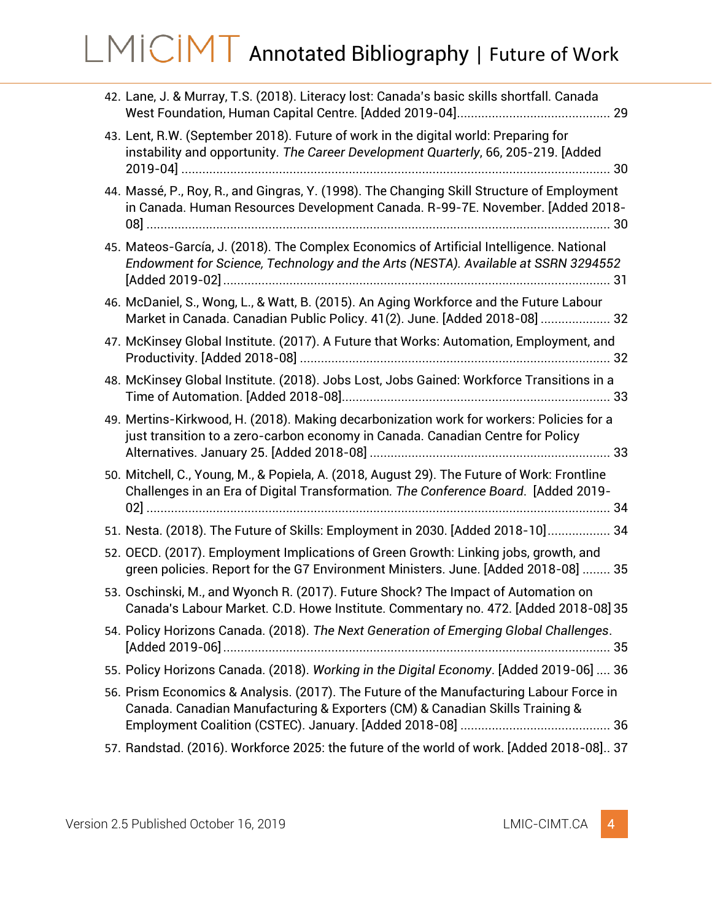| 42. Lane, J. & Murray, T.S. (2018). Literacy lost: Canada's basic skills shortfall. Canada                                                                                        |  |
|-----------------------------------------------------------------------------------------------------------------------------------------------------------------------------------|--|
| 43. Lent, R.W. (September 2018). Future of work in the digital world: Preparing for<br>instability and opportunity. The Career Development Quarterly, 66, 205-219. [Added         |  |
| 44. Massé, P., Roy, R., and Gingras, Y. (1998). The Changing Skill Structure of Employment<br>in Canada. Human Resources Development Canada. R-99-7E. November. [Added 2018-      |  |
| 45. Mateos-García, J. (2018). The Complex Economics of Artificial Intelligence. National<br>Endowment for Science, Technology and the Arts (NESTA). Available at SSRN 3294552     |  |
| 46. McDaniel, S., Wong, L., & Watt, B. (2015). An Aging Workforce and the Future Labour<br>Market in Canada. Canadian Public Policy. 41(2). June. [Added 2018-08]  32             |  |
| 47. McKinsey Global Institute. (2017). A Future that Works: Automation, Employment, and                                                                                           |  |
| 48. McKinsey Global Institute. (2018). Jobs Lost, Jobs Gained: Workforce Transitions in a                                                                                         |  |
| 49. Mertins-Kirkwood, H. (2018). Making decarbonization work for workers: Policies for a<br>just transition to a zero-carbon economy in Canada. Canadian Centre for Policy        |  |
| 50. Mitchell, C., Young, M., & Popiela, A. (2018, August 29). The Future of Work: Frontline<br>Challenges in an Era of Digital Transformation. The Conference Board. [Added 2019- |  |
| 51. Nesta. (2018). The Future of Skills: Employment in 2030. [Added 2018-10] 34                                                                                                   |  |
| 52. OECD. (2017). Employment Implications of Green Growth: Linking jobs, growth, and<br>green policies. Report for the G7 Environment Ministers. June. [Added 2018-08]  35        |  |
| 53. Oschinski, M., and Wyonch R. (2017). Future Shock? The Impact of Automation on<br>Canada's Labour Market. C.D. Howe Institute. Commentary no. 472. [Added 2018-08] 35         |  |
| 54. Policy Horizons Canada. (2018). The Next Generation of Emerging Global Challenges.                                                                                            |  |
| 55. Policy Horizons Canada. (2018). Working in the Digital Economy. [Added 2019-06]  36                                                                                           |  |
| 56. Prism Economics & Analysis. (2017). The Future of the Manufacturing Labour Force in<br>Canada. Canadian Manufacturing & Exporters (CM) & Canadian Skills Training &           |  |
| 57. Randstad. (2016). Workforce 2025: the future of the world of work. [Added 2018-08] 37                                                                                         |  |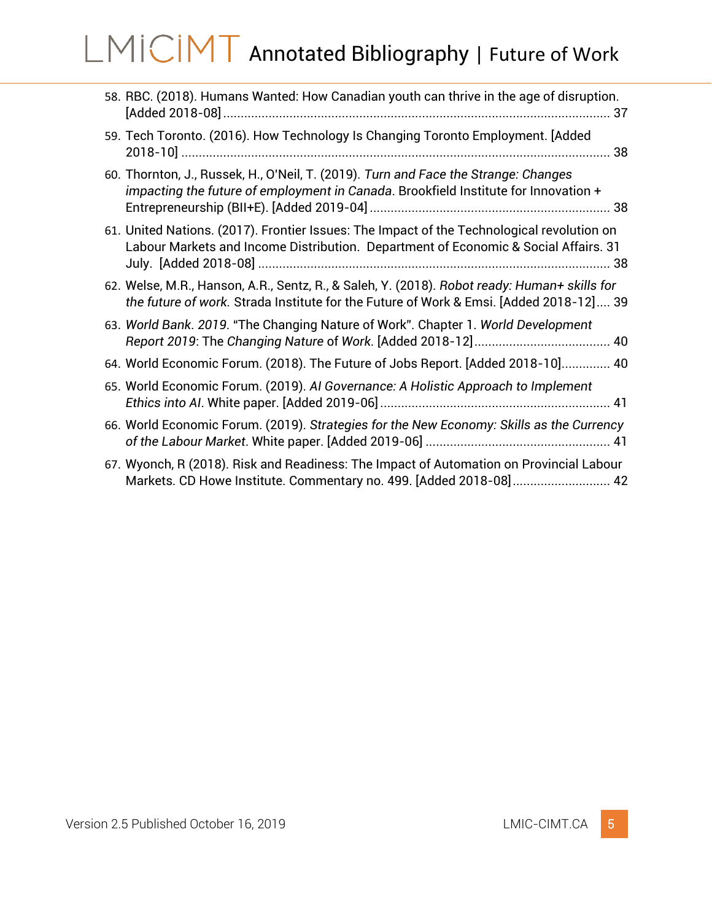| 58. RBC. (2018). Humans Wanted: How Canadian youth can thrive in the age of disruption.                                                                                                |  |
|----------------------------------------------------------------------------------------------------------------------------------------------------------------------------------------|--|
| 59. Tech Toronto. (2016). How Technology Is Changing Toronto Employment. [Added                                                                                                        |  |
| 60. Thornton, J., Russek, H., O'Neil, T. (2019). Turn and Face the Strange: Changes<br>impacting the future of employment in Canada. Brookfield Institute for Innovation +             |  |
| 61. United Nations. (2017). Frontier Issues: The Impact of the Technological revolution on<br>Labour Markets and Income Distribution. Department of Economic & Social Affairs. 31      |  |
| 62. Welse, M.R., Hanson, A.R., Sentz, R., & Saleh, Y. (2018). Robot ready: Human+ skills for<br>the future of work. Strada Institute for the Future of Work & Emsi. [Added 2018-12] 39 |  |
| 63. World Bank. 2019. "The Changing Nature of Work". Chapter 1. World Development                                                                                                      |  |
| 64. World Economic Forum. (2018). The Future of Jobs Report. [Added 2018-10] 40                                                                                                        |  |
| 65. World Economic Forum. (2019). Al Governance: A Holistic Approach to Implement                                                                                                      |  |
| 66. World Economic Forum. (2019). Strategies for the New Economy: Skills as the Currency                                                                                               |  |
| 67. Wyonch, R (2018). Risk and Readiness: The Impact of Automation on Provincial Labour<br>Markets. CD Howe Institute. Commentary no. 499. [Added 2018-08] 42                          |  |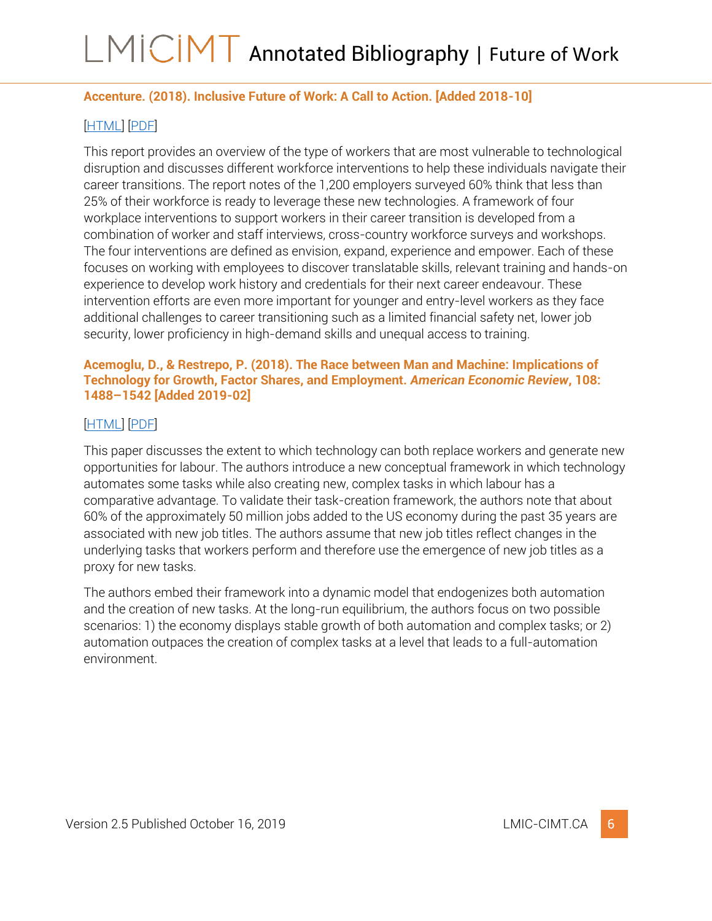### <span id="page-6-0"></span>**Accenture. (2018). Inclusive Future of Work: A Call to Action. [Added 2018-10]**

### [\[HTML\]](https://www.accenture.com/ca-en/company-inclusive-future-work) [\[PDF\]](https://www.accenture.com/t20181001T231814Z__w__/us-en/_acnmedia/PDF-87/Accenture-Inclusive-Future-of-Work-Full-Report.pdf)

This report provides an overview of the type of workers that are most vulnerable to technological disruption and discusses different workforce interventions to help these individuals navigate their career transitions. The report notes of the 1,200 employers surveyed 60% think that less than 25% of their workforce is ready to leverage these new technologies. A framework of four workplace interventions to support workers in their career transition is developed from a combination of worker and staff interviews, cross-country workforce surveys and workshops. The four interventions are defined as envision, expand, experience and empower. Each of these focuses on working with employees to discover translatable skills, relevant training and hands-on experience to develop work history and credentials for their next career endeavour. These intervention efforts are even more important for younger and entry-level workers as they face additional challenges to career transitioning such as a limited financial safety net, lower job security, lower proficiency in high-demand skills and unequal access to training.

#### <span id="page-6-1"></span>**Acemoglu, D., & Restrepo, P. (2018). The Race between Man and Machine: Implications of Technology for Growth, Factor Shares, and Employment.** *American Economic Review***, 108: 1488–1542 [Added 2019-02]**

### [\[HTML\]](https://www.aeaweb.org/articles?id=10.1257/aer.20160696) [\[PDF\]](https://pubs.aeaweb.org/doi/pdfplus/10.1257/aer.20160696)

This paper discusses the extent to which technology can both replace workers and generate new opportunities for labour. The authors introduce a new conceptual framework in which technology automates some tasks while also creating new, complex tasks in which labour has a comparative advantage. To validate their task-creation framework, the authors note that about 60% of the approximately 50 million jobs added to the US economy during the past 35 years are associated with new job titles. The authors assume that new job titles reflect changes in the underlying tasks that workers perform and therefore use the emergence of new job titles as a proxy for new tasks.

The authors embed their framework into a dynamic model that endogenizes both automation and the creation of new tasks. At the long-run equilibrium, the authors focus on two possible scenarios: 1) the economy displays stable growth of both automation and complex tasks; or 2) automation outpaces the creation of complex tasks at a level that leads to a full-automation environment.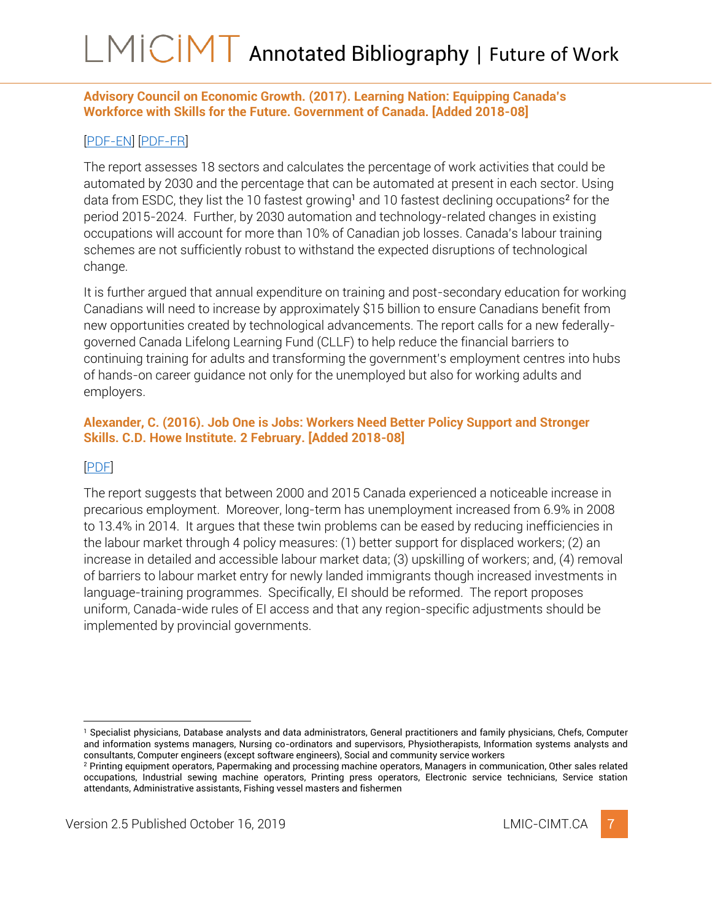### <span id="page-7-0"></span>**Advisory Council on Economic Growth. (2017). Learning Nation: Equipping Canada's Workforce with Skills for the Future. Government of Canada. [Added 2018-08]**

### [\[PDF-EN\]](https://www.budget.gc.ca/aceg-ccce/pdf/learning-nation-eng.pdf) [\[PDF-FR\]](https://www.budget.gc.ca/aceg-ccce/pdf/learning-nation-fra.pdf)

The report assesses 18 sectors and calculates the percentage of work activities that could be automated by 2030 and the percentage that can be automated at present in each sector. Using data from ESDC, they list the 10 fastest growing<sup>1</sup> and 10 fastest declining occupations<sup>2</sup> for the period 2015-2024. Further, by 2030 automation and technology-related changes in existing occupations will account for more than 10% of Canadian job losses. Canada's labour training schemes are not sufficiently robust to withstand the expected disruptions of technological change.

It is further argued that annual expenditure on training and post-secondary education for working Canadians will need to increase by approximately \$15 billion to ensure Canadians benefit from new opportunities created by technological advancements. The report calls for a new federallygoverned Canada Lifelong Learning Fund (CLLF) to help reduce the financial barriers to continuing training for adults and transforming the government's employment centres into hubs of hands-on career guidance not only for the unemployed but also for working adults and employers.

### <span id="page-7-1"></span>**Alexander, C. (2016). Job One is Jobs: Workers Need Better Policy Support and Stronger Skills. C.D. Howe Institute. 2 February. [Added 2018-08]**

### [\[PDF\]](https://www.cdhowe.org/sites/default/files/attachments/research_papers/mixed/e-brief_227_0.pdf)

The report suggests that between 2000 and 2015 Canada experienced a noticeable increase in precarious employment. Moreover, long-term has unemployment increased from 6.9% in 2008 to 13.4% in 2014. It argues that these twin problems can be eased by reducing inefficiencies in the labour market through 4 policy measures: (1) better support for displaced workers; (2) an increase in detailed and accessible labour market data; (3) upskilling of workers; and, (4) removal of barriers to labour market entry for newly landed immigrants though increased investments in language-training programmes. Specifically, EI should be reformed. The report proposes uniform, Canada-wide rules of EI access and that any region-specific adjustments should be implemented by provincial governments.



<sup>1</sup> Specialist physicians, Database analysts and data administrators, General practitioners and family physicians, Chefs, Computer and information systems managers, Nursing co-ordinators and supervisors, Physiotherapists, Information systems analysts and consultants, Computer engineers (except software engineers), Social and community service workers

<sup>2</sup> Printing equipment operators, Papermaking and processing machine operators, Managers in communication, Other sales related occupations, Industrial sewing machine operators, Printing press operators, Electronic service technicians, Service station attendants, Administrative assistants, Fishing vessel masters and fishermen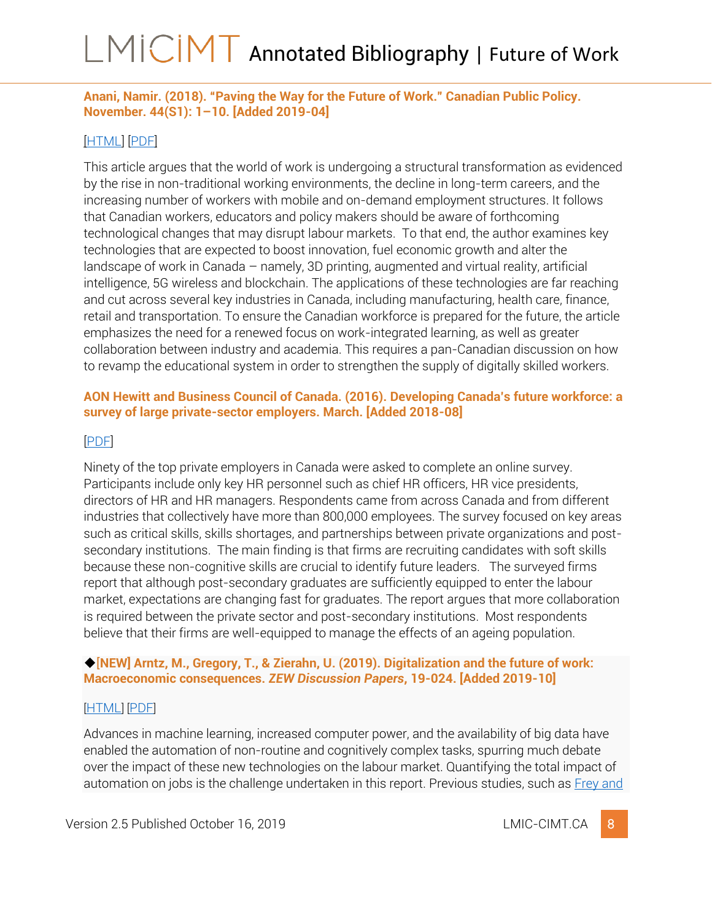### <span id="page-8-0"></span>**Anani, Namir. (2018). "Paving the Way for the Future of Work." Canadian Public Policy. November. 44(S1): 1–10. [Added 2019-04]**

### [\[HTML\]](https://www.utpjournals.press/doi/abs/10.3138/cpp.2018-012?journalCode=cpp) [\[PDF\]](http://www.utpjournals.press/doi/pdf/10.3138/cpp.2018-012)

This article argues that the world of work is undergoing a structural transformation as evidenced by the rise in non-traditional working environments, the decline in long-term careers, and the increasing number of workers with mobile and on-demand employment structures. It follows that Canadian workers, educators and policy makers should be aware of forthcoming technological changes that may disrupt labour markets. To that end, the author examines key technologies that are expected to boost innovation, fuel economic growth and alter the landscape of work in Canada – namely, 3D printing, augmented and virtual reality, artificial intelligence, 5G wireless and blockchain. The applications of these technologies are far reaching and cut across several key industries in Canada, including manufacturing, health care, finance, retail and transportation. To ensure the Canadian workforce is prepared for the future, the article emphasizes the need for a renewed focus on work-integrated learning, as well as greater collaboration between industry and academia. This requires a pan-Canadian discussion on how to revamp the educational system in order to strengthen the supply of digitally skilled workers.

### <span id="page-8-1"></span>**AON Hewitt and Business Council of Canada. (2016). Developing Canada's future workforce: a survey of large private-sector employers. March. [Added 2018-08]**

### [\[PDF\]](http://thebusinesscouncil.ca/wp-content/uploads/2016/03/Developing-Canadas-Future-Workforce.pdf)

Ninety of the top private employers in Canada were asked to complete an online survey. Participants include only key HR personnel such as chief HR officers, HR vice presidents, directors of HR and HR managers. Respondents came from across Canada and from different industries that collectively have more than 800,000 employees. The survey focused on key areas such as critical skills, skills shortages, and partnerships between private organizations and postsecondary institutions. The main finding is that firms are recruiting candidates with soft skills because these non-cognitive skills are crucial to identify future leaders. The surveyed firms report that although post-secondary graduates are sufficiently equipped to enter the labour market, expectations are changing fast for graduates. The report argues that more collaboration is required between the private sector and post-secondary institutions. Most respondents believe that their firms are well-equipped to manage the effects of an ageing population.

#### <span id="page-8-2"></span>◆[**NEW] Arntz, M., Gregory, T., & Zierahn, U. (2019). Digitalization and the future of work: Macroeconomic consequences.** *ZEW Discussion Papers***, 19-024. [Added 2019-10]**

### [[HTML](http://hdl.handle.net/10419/200063)] [[PDF](https://www.econstor.eu/bitstream/10419/200063/1/1668100991.pdf)]

Advances in machine learning, increased computer power, and the availability of big data have enabled the automation of non-routine and cognitively complex tasks, spurring much debate over the impact of these new technologies on the labour market. Quantifying the total impact of automation on jobs is the challenge undertaken in this report. Previous studies, such as **Frey and**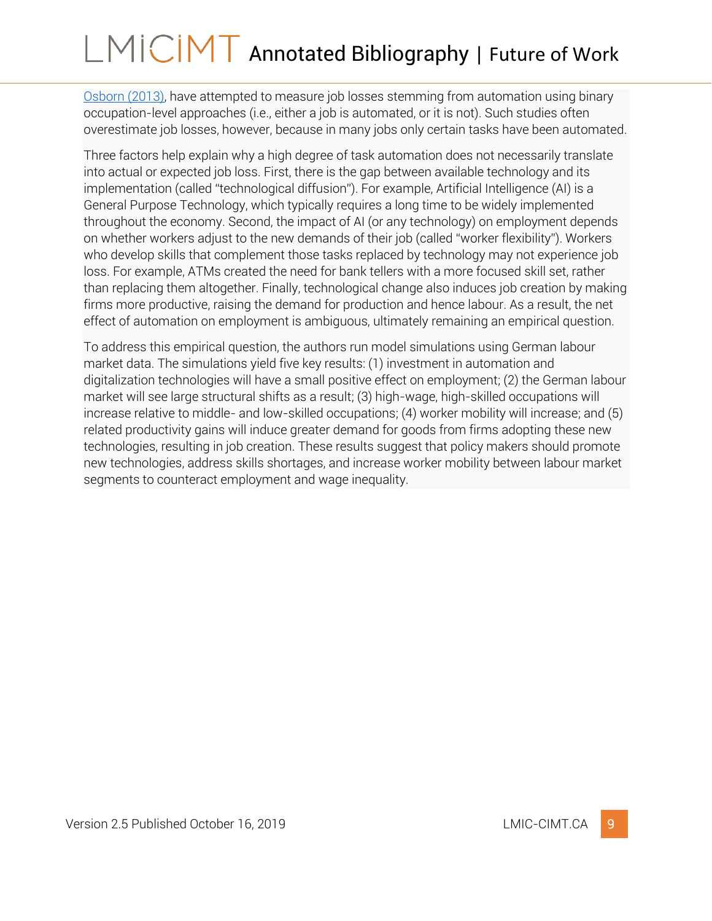[Osborn \(2013\),](#page-21-1) have attempted to measure job losses stemming from automation using binary occupation-level approaches (i.e., either a job is automated, or it is not). Such studies often overestimate job losses, however, because in many jobs only certain tasks have been automated.

Three factors help explain why a high degree of task automation does not necessarily translate into actual or expected job loss. First, there is the gap between available technology and its implementation (called "technological diffusion"). For example, Artificial Intelligence (AI) is a General Purpose Technology, which typically requires a long time to be widely implemented throughout the economy. Second, the impact of AI (or any technology) on employment depends on whether workers adjust to the new demands of their job (called "worker flexibility"). Workers who develop skills that complement those tasks replaced by technology may not experience job loss. For example, ATMs created the need for bank tellers with a more focused skill set, rather than replacing them altogether. Finally, technological change also induces job creation by making firms more productive, raising the demand for production and hence labour. As a result, the net effect of automation on employment is ambiguous, ultimately remaining an empirical question.

To address this empirical question, the authors run model simulations using German labour market data. The simulations yield five key results: (1) investment in automation and digitalization technologies will have a small positive effect on employment; (2) the German labour market will see large structural shifts as a result; (3) high-wage, high-skilled occupations will increase relative to middle- and low-skilled occupations; (4) worker mobility will increase; and (5) related productivity gains will induce greater demand for goods from firms adopting these new technologies, resulting in job creation. These results suggest that policy makers should promote new technologies, address skills shortages, and increase worker mobility between labour market segments to counteract employment and wage inequality.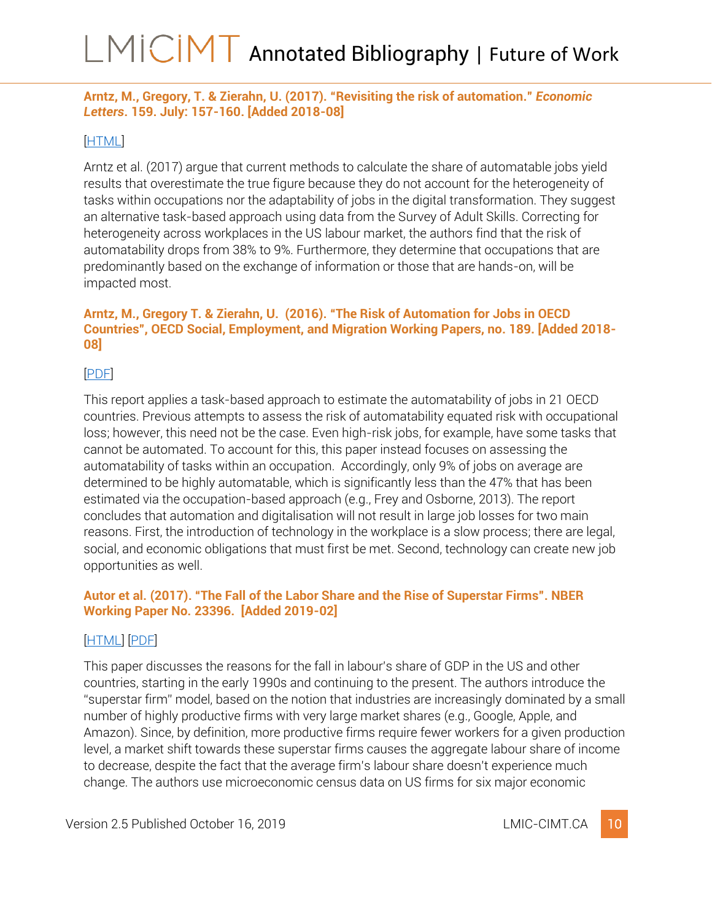### <span id="page-10-0"></span>**Arntz, M., Gregory, T. & Zierahn, U. (2017). "[Revisiting the risk of automation](https://www.researchgate.net/publication/318108672_Revisiting_the_Risk_of_Automation)."** *Economic Letters***. 159. July: 157-160. [Added 2018-08]**

#### [\[HTML\]](https://www.sciencedirect.com/science/article/pii/S0165176517302811)

Arntz et al. (2017) argue that current methods to calculate the share of automatable jobs yield results that overestimate the true figure because they do not account for the heterogeneity of tasks within occupations nor the adaptability of jobs in the digital transformation. They suggest an alternative task-based approach using data from the Survey of Adult Skills. Correcting for heterogeneity across workplaces in the US labour market, the authors find that the risk of automatability drops from 38% to 9%. Furthermore, they determine that occupations that are predominantly based on the exchange of information or those that are hands-on, will be impacted most.

#### <span id="page-10-1"></span>**Arntz, M., Gregory T. & Zierahn, U. (2016). "The Risk of Automation for Jobs in OECD Countries", OECD Social, Employment, and Migration Working Papers, no. 189. [Added 2018- 08]**

### [\[PDF\]](http://www.ifuturo.org/sites/default/files/docs/automation.pdf)

This report applies a task-based approach to estimate the automatability of jobs in 21 OECD countries. Previous attempts to assess the risk of automatability equated risk with occupational loss; however, this need not be the case. Even high-risk jobs, for example, have some tasks that cannot be automated. To account for this, this paper instead focuses on assessing the automatability of tasks within an occupation. Accordingly, only 9% of jobs on average are determined to be highly automatable, which is significantly less than the 47% that has been estimated via the occupation-based approach (e.g., Frey and Osborne, 2013). The report concludes that automation and digitalisation will not result in large job losses for two main reasons. First, the introduction of technology in the workplace is a slow process; there are legal, social, and economic obligations that must first be met. Second, technology can create new job opportunities as well.

### <span id="page-10-2"></span>**Autor et al. (2017). "The Fall of the Labor Share and the Rise of Superstar Firms". NBER Working Paper No. 23396. [Added 2019-02]**

### [\[HTML\]](https://economics.mit.edu/faculty/dautor/policy) [\[PDF\]](https://economics.mit.edu/files/12979)

This paper discusses the reasons for the fall in labour's share of GDP in the US and other countries, starting in the early 1990s and continuing to the present. The authors introduce the "superstar firm" model, based on the notion that industries are increasingly dominated by a small number of highly productive firms with very large market shares (e.g., Google, Apple, and Amazon). Since, by definition, more productive firms require fewer workers for a given production level, a market shift towards these superstar firms causes the aggregate labour share of income to decrease, despite the fact that the average firm's labour share doesn't experience much change. The authors use microeconomic census data on US firms for six major economic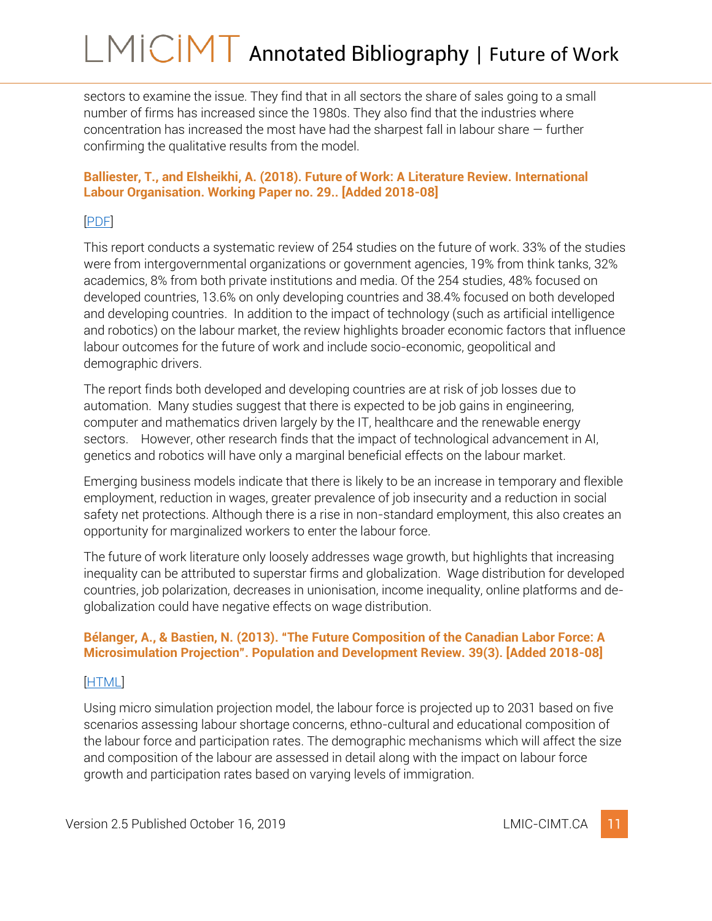sectors to examine the issue. They find that in all sectors the share of sales going to a small number of firms has increased since the 1980s. They also find that the industries where concentration has increased the most have had the sharpest fall in labour share — further confirming the qualitative results from the model.

### <span id="page-11-0"></span>**Balliester, T., and Elsheikhi, A. (2018). Future of Work: A Literature Review. International Labour Organisation. Working Paper no. 29.. [Added 2018-08]**

### [\[PDF\]](http://www.ilo.org/wcmsp5/groups/public/---dgreports/---inst/documents/publication/wcms_625866.pdf)

This report conducts a systematic review of 254 studies on the future of work. 33% of the studies were from intergovernmental organizations or government agencies, 19% from think tanks, 32% academics, 8% from both private institutions and media. Of the 254 studies, 48% focused on developed countries, 13.6% on only developing countries and 38.4% focused on both developed and developing countries. In addition to the impact of technology (such as artificial intelligence and robotics) on the labour market, the review highlights broader economic factors that influence labour outcomes for the future of work and include socio-economic, geopolitical and demographic drivers.

The report finds both developed and developing countries are at risk of job losses due to automation. Many studies suggest that there is expected to be job gains in engineering, computer and mathematics driven largely by the IT, healthcare and the renewable energy sectors. However, other research finds that the impact of technological advancement in AI, genetics and robotics will have only a marginal beneficial effects on the labour market.

Emerging business models indicate that there is likely to be an increase in temporary and flexible employment, reduction in wages, greater prevalence of job insecurity and a reduction in social safety net protections. Although there is a rise in non-standard employment, this also creates an opportunity for marginalized workers to enter the labour force.

The future of work literature only loosely addresses wage growth, but highlights that increasing inequality can be attributed to superstar firms and globalization. Wage distribution for developed countries, job polarization, decreases in unionisation, income inequality, online platforms and deglobalization could have negative effects on wage distribution.

### <span id="page-11-1"></span>**Bélanger, A., & Bastien, N. (2013). "The Future Composition of the Canadian Labor Force: A Microsimulation Projection". Population and Development Review. 39(3). [Added 2018-08]**

### [\[HTML\]](https://onlinelibrary.wiley.com/doi/abs/10.1111/j.1728-4457.2013.00614.x)

Using micro simulation projection model, the labour force is projected up to 2031 based on five scenarios assessing labour shortage concerns, ethno-cultural and educational composition of the labour force and participation rates. The demographic mechanisms which will affect the size and composition of the labour are assessed in detail along with the impact on labour force growth and participation rates based on varying levels of immigration.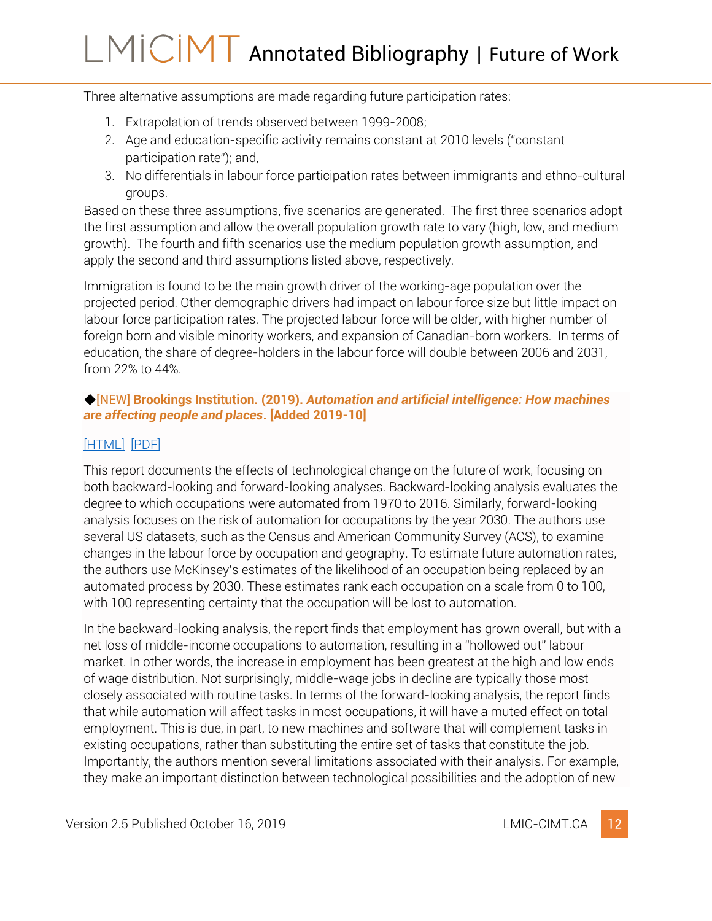Three alternative assumptions are made regarding future participation rates:

- 1. Extrapolation of trends observed between 1999-2008;
- 2. Age and education-specific activity remains constant at 2010 levels ("constant participation rate"); and,
- 3. No differentials in labour force participation rates between immigrants and ethno-cultural groups.

Based on these three assumptions, five scenarios are generated. The first three scenarios adopt the first assumption and allow the overall population growth rate to vary (high, low, and medium growth). The fourth and fifth scenarios use the medium population growth assumption, and apply the second and third assumptions listed above, respectively.

Immigration is found to be the main growth driver of the working-age population over the projected period. Other demographic drivers had impact on labour force size but little impact on labour force participation rates. The projected labour force will be older, with higher number of foreign born and visible minority workers, and expansion of Canadian-born workers. In terms of education, the share of degree-holders in the labour force will double between 2006 and 2031, from 22% to 44%.

### <span id="page-12-0"></span>◆[NEW] **Brookings Institution. (2019).** *Automation and artificial intelligence: How machines are affecting people and places***. [Added 2019-10]**

### [\[HTML\]](https://www.brookings.edu/research/automation-and-artificial-intelligence-how-machines-affect-people-and-places/) [\[PDF\]](https://www.brookings.edu/wp-content/uploads/2019/01/2019.01_BrookingsMetro_Automation-AI_Report_Muro-Maxim-Whiton-FINAL-version.pdf)

This report documents the effects of technological change on the future of work, focusing on both backward-looking and forward-looking analyses. Backward-looking analysis evaluates the degree to which occupations were automated from 1970 to 2016. Similarly, forward-looking analysis focuses on the risk of automation for occupations by the year 2030. The authors use several US datasets, such as the Census and American Community Survey (ACS), to examine changes in the labour force by occupation and geography. To estimate future automation rates, the authors use McKinsey's estimates of the likelihood of an occupation being replaced by an automated process by 2030. These estimates rank each occupation on a scale from 0 to 100, with 100 representing certainty that the occupation will be lost to automation.

In the backward-looking analysis, the report finds that employment has grown overall, but with a net loss of middle-income occupations to automation, resulting in a "hollowed out" labour market. In other words, the increase in employment has been greatest at the high and low ends of wage distribution. Not surprisingly, middle-wage jobs in decline are typically those most closely associated with routine tasks. In terms of the forward-looking analysis, the report finds that while automation will affect tasks in most occupations, it will have a muted effect on total employment. This is due, in part, to new machines and software that will complement tasks in existing occupations, rather than substituting the entire set of tasks that constitute the job. Importantly, the authors mention several limitations associated with their analysis. For example, they make an important distinction between technological possibilities and the adoption of new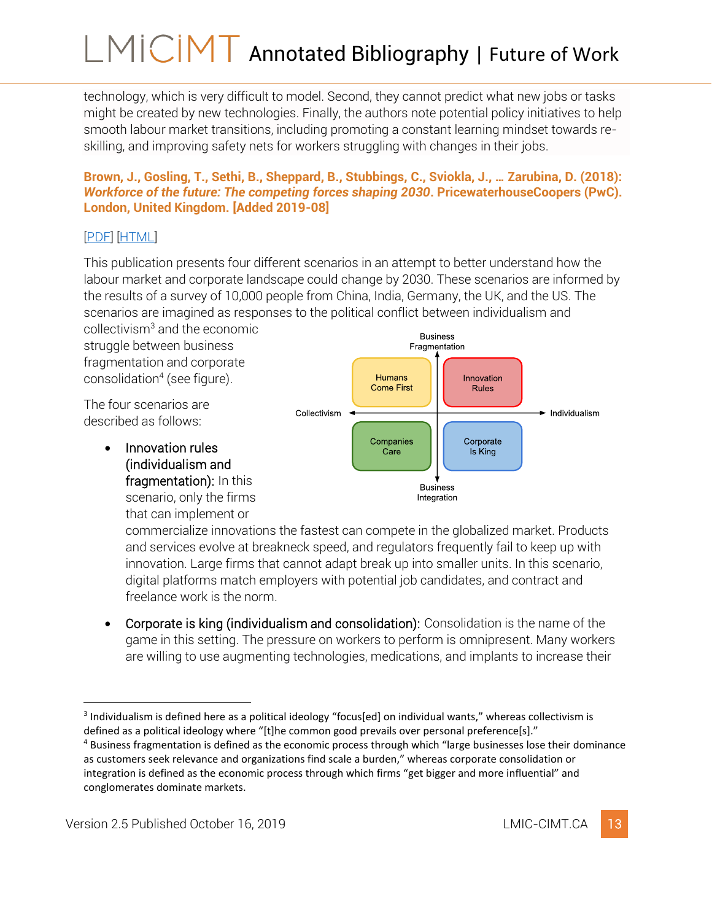technology, which is very difficult to model. Second, they cannot predict what new jobs or tasks might be created by new technologies. Finally, the authors note potential policy initiatives to help smooth labour market transitions, including promoting a constant learning mindset towards reskilling, and improving safety nets for workers struggling with changes in their jobs.

#### <span id="page-13-0"></span>**Brown, J., Gosling, T., Sethi, B., Sheppard, B., Stubbings, C., Sviokla, J., … Zarubina, D. (2018):**  *Workforce of the future: The competing forces shaping 2030***. PricewaterhouseCoopers (PwC). London, United Kingdom. [Added 2019-08]**

## [\[PDF\]](https://www.pwc.com/gx/en/services/people-organisation/workforce-of-the-future/workforce-of-the-future-the-competing-forces-shaping-2030-pwc.pdf) [\[HTML\]](https://www.pwc.com/gx/en/services/people-organisation/publications/workforce-of-the-future.html)

This publication presents four different scenarios in an attempt to better understand how the labour market and corporate landscape could change by 2030. These scenarios are informed by the results of a survey of 10,000 people from China, India, Germany, the UK, and the US. The scenarios are imagined as responses to the political conflict between individualism and

collectivism<sup>3</sup> and the economic struggle between business fragmentation and corporate consolidation<sup>4</sup> (see figure).

The four scenarios are described as follows:

> • Innovation rules (individualism and fragmentation): In this scenario, only the firms that can implement or



commercialize innovations the fastest can compete in the globalized market. Products and services evolve at breakneck speed, and regulators frequently fail to keep up with innovation. Large firms that cannot adapt break up into smaller units. In this scenario, digital platforms match employers with potential job candidates, and contract and freelance work is the norm.

• Corporate is king (individualism and consolidation): Consolidation is the name of the game in this setting. The pressure on workers to perform is omnipresent. Many workers are willing to use augmenting technologies, medications, and implants to increase their

<sup>&</sup>lt;sup>3</sup> Individualism is defined here as a political ideology "focus[ed] on individual wants," whereas collectivism is defined as a political ideology where "[t]he common good prevails over personal preference[s]."

<sup>&</sup>lt;sup>4</sup> Business fragmentation is defined as the economic process through which "large businesses lose their dominance as customers seek relevance and organizations find scale a burden," whereas corporate consolidation or integration is defined as the economic process through which firms "get bigger and more influential" and conglomerates dominate markets.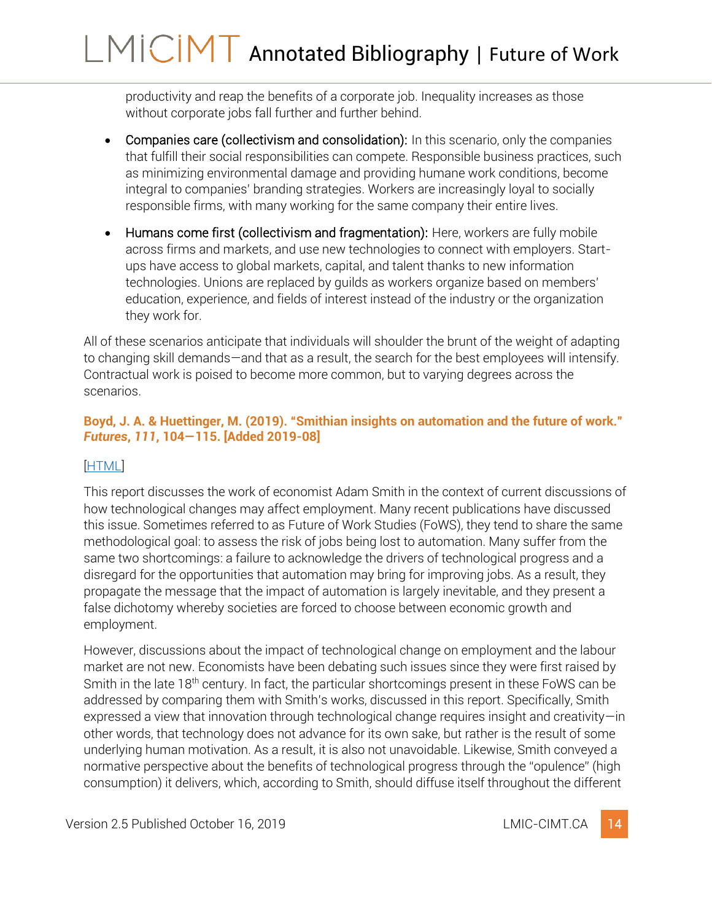productivity and reap the benefits of a corporate job. Inequality increases as those without corporate jobs fall further and further behind.

- Companies care (collectivism and consolidation): In this scenario, only the companies that fulfill their social responsibilities can compete. Responsible business practices, such as minimizing environmental damage and providing humane work conditions, become integral to companies' branding strategies. Workers are increasingly loyal to socially responsible firms, with many working for the same company their entire lives.
- Humans come first (collectivism and fragmentation): Here, workers are fully mobile across firms and markets, and use new technologies to connect with employers. Startups have access to global markets, capital, and talent thanks to new information technologies. Unions are replaced by guilds as workers organize based on members' education, experience, and fields of interest instead of the industry or the organization they work for.

All of these scenarios anticipate that individuals will shoulder the brunt of the weight of adapting to changing skill demands—and that as a result, the search for the best employees will intensify. Contractual work is poised to become more common, but to varying degrees across the scenarios.

### <span id="page-14-0"></span>**Boyd, J. A. & Huettinger, M. (2019). "Smithian insights on automation and the future of work."**  *Futures***,** *111***, 104—115. [Added 2019-08]**

### [\[HTML\]](https://doi.org/10.1016/j.futures.2019.06.002)

This report discusses the work of economist Adam Smith in the context of current discussions of how technological changes may affect employment. Many recent publications have discussed this issue. Sometimes referred to as Future of Work Studies (FoWS), they tend to share the same methodological goal: to assess the risk of jobs being lost to automation. Many suffer from the same two shortcomings: a failure to acknowledge the drivers of technological progress and a disregard for the opportunities that automation may bring for improving jobs. As a result, they propagate the message that the impact of automation is largely inevitable, and they present a false dichotomy whereby societies are forced to choose between economic growth and employment.

However, discussions about the impact of technological change on employment and the labour market are not new. Economists have been debating such issues since they were first raised by Smith in the late 18th century. In fact, the particular shortcomings present in these FoWS can be addressed by comparing them with Smith's works, discussed in this report. Specifically, Smith expressed a view that innovation through technological change requires insight and creativity—in other words, that technology does not advance for its own sake, but rather is the result of some underlying human motivation. As a result, it is also not unavoidable. Likewise, Smith conveyed a normative perspective about the benefits of technological progress through the "opulence" (high consumption) it delivers, which, according to Smith, should diffuse itself throughout the different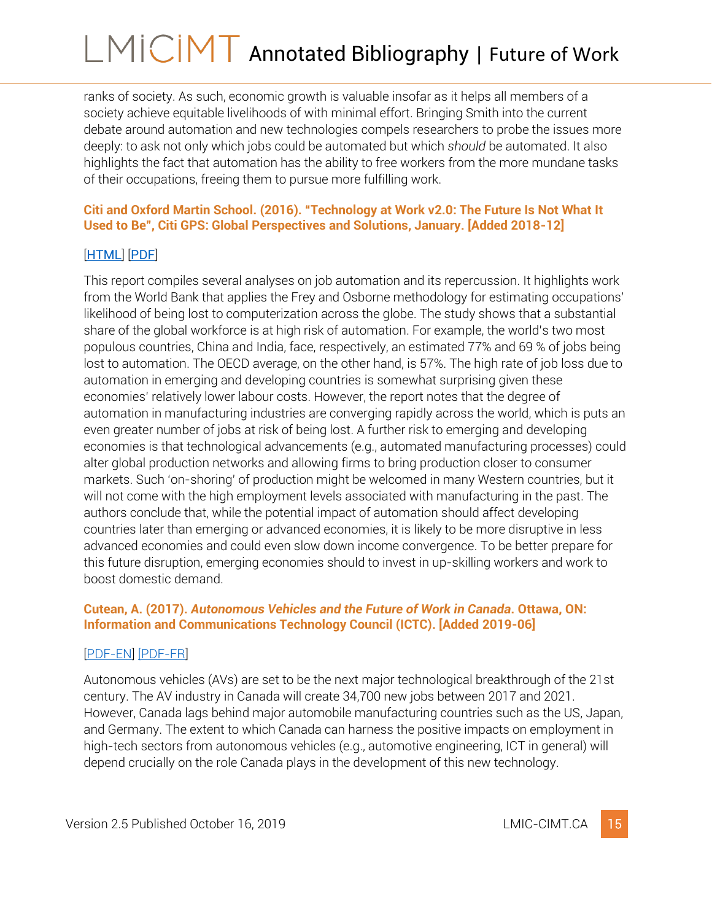ranks of society. As such, economic growth is valuable insofar as it helps all members of a society achieve equitable livelihoods of with minimal effort. Bringing Smith into the current debate around automation and new technologies compels researchers to probe the issues more deeply: to ask not only which jobs could be automated but which *should* be automated. It also highlights the fact that automation has the ability to free workers from the more mundane tasks of their occupations, freeing them to pursue more fulfilling work.

### <span id="page-15-0"></span>**Citi and Oxford Martin School. (2016). "Technology at Work v2.0: The Future Is Not What It Used to Be", Citi GPS: Global Perspectives and Solutions, January. [Added 2018-12]**

## [[HTML](https://www.oxfordmartin.ox.ac.uk/publications/view/2092)] [[PDF](https://www.oxfordmartin.ox.ac.uk/downloads/reports/Citi_GPS_Technology_Work_2.pdf)]

This report compiles several analyses on job automation and its repercussion. It highlights work from the World Bank that applies the Frey and Osborne methodology for estimating occupations' likelihood of being lost to computerization across the globe. The study shows that a substantial share of the global workforce is at high risk of automation. For example, the world's two most populous countries, China and India, face, respectively, an estimated 77% and 69 % of jobs being lost to automation. The OECD average, on the other hand, is 57%. The high rate of job loss due to automation in emerging and developing countries is somewhat surprising given these economies' relatively lower labour costs. However, the report notes that the degree of automation in manufacturing industries are converging rapidly across the world, which is puts an even greater number of jobs at risk of being lost. A further risk to emerging and developing economies is that technological advancements (e.g., automated manufacturing processes) could alter global production networks and allowing firms to bring production closer to consumer markets. Such 'on-shoring' of production might be welcomed in many Western countries, but it will not come with the high employment levels associated with manufacturing in the past. The authors conclude that, while the potential impact of automation should affect developing countries later than emerging or advanced economies, it is likely to be more disruptive in less advanced economies and could even slow down income convergence. To be better prepare for this future disruption, emerging economies should to invest in up-skilling workers and work to boost domestic demand.

#### <span id="page-15-1"></span>**Cutean, A. (2017).** *Autonomous Vehicles and the Future of Work in Canada***. Ottawa, ON: Information and Communications Technology Council (ICTC). [Added 2019-06]**

### [\[PDF-](https://www.ictc-ctic.ca/wp-content/uploads/2018/01/ICTC_-Autonomous-Vehicles-and-The-Future-of-Work-in-Canada-1-1.pdf)EN] [\[PDF-FR\]](https://www.ictc-ctic.ca/wp-content/uploads/2018/01/CTIC_vehicules-autonomes-1.pdf)

Autonomous vehicles (AVs) are set to be the next major technological breakthrough of the 21st century. The AV industry in Canada will create 34,700 new jobs between 2017 and 2021. However, Canada lags behind major automobile manufacturing countries such as the US, Japan, and Germany. The extent to which Canada can harness the positive impacts on employment in high-tech sectors from autonomous vehicles (e.g., automotive engineering, ICT in general) will depend crucially on the role Canada plays in the development of this new technology.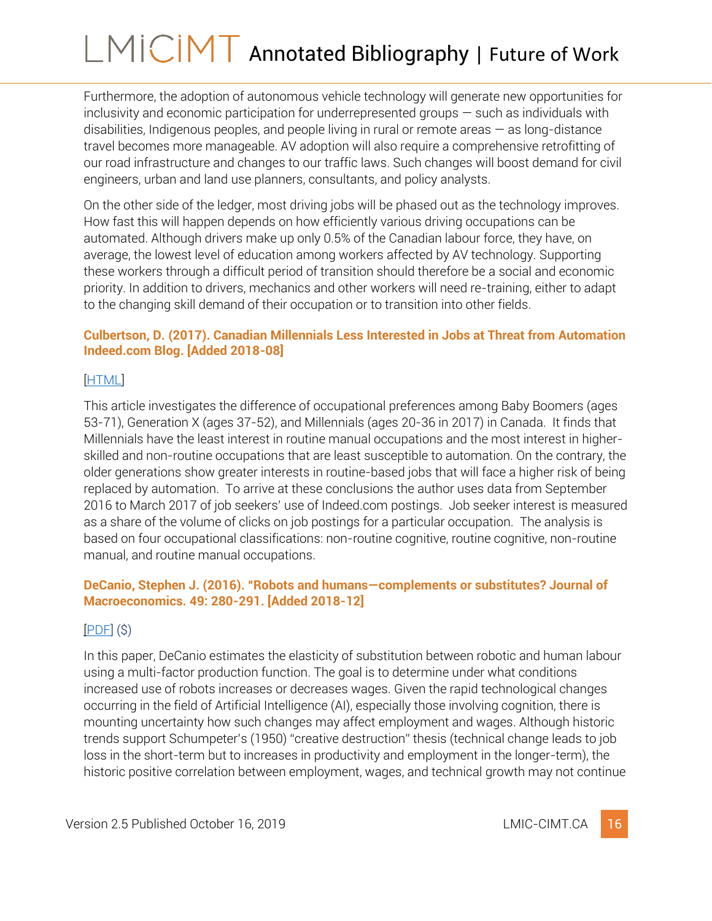Furthermore, the adoption of autonomous vehicle technology will generate new opportunities for inclusivity and economic participation for underrepresented groups — such as individuals with disabilities, Indigenous peoples, and people living in rural or remote areas  $-$  as long-distance travel becomes more manageable. AV adoption will also require a comprehensive retrofitting of our road infrastructure and changes to our traffic laws. Such changes will boost demand for civil engineers, urban and land use planners, consultants, and policy analysts.

On the other side of the ledger, most driving jobs will be phased out as the technology improves. How fast this will happen depends on how efficiently various driving occupations can be automated. Although drivers make up only 0.5% of the Canadian labour force, they have, on average, the lowest level of education among workers affected by AV technology. Supporting these workers through a difficult period of transition should therefore be a social and economic priority. In addition to drivers, mechanics and other workers will need re-training, either to adapt to the changing skill demand of their occupation or to transition into other fields.

#### <span id="page-16-0"></span>**Culbertson, D. (2017). Canadian Millennials Less Interested in Jobs at Threat from Automation Indeed.com Blog. [Added 2018-08]**

### [\[HTML\]](http://blog.indeed.com/2017/04/27/canadian-millennials-less-interested-in-automation-jobs/)

This article investigates the difference of occupational preferences among Baby Boomers (ages 53-71), Generation X (ages 37-52), and Millennials (ages 20-36 in 2017) in Canada. It finds that Millennials have the least interest in routine manual occupations and the most interest in higherskilled and non-routine occupations that are least susceptible to automation. On the contrary, the older generations show greater interests in routine-based jobs that will face a higher risk of being replaced by automation. To arrive at these conclusions the author uses data from September 2016 to March 2017 of job seekers' use of Indeed.com postings. Job seeker interest is measured as a share of the volume of clicks on job postings for a particular occupation. The analysis is based on four occupational classifications: non-routine cognitive, routine cognitive, non-routine manual, and routine manual occupations.

### <span id="page-16-1"></span>**DeCanio, Stephen J. (2016). "Robots and humans—complements or substitutes? Journal of Macroeconomics. 49: 280-291. [Added 2018-12]**

### $[PDF]$  $(S)$

In this paper, DeCanio estimates the elasticity of substitution between robotic and human labour using a multi-factor production function. The goal is to determine under what conditions increased use of robots increases or decreases wages. Given the rapid technological changes occurring in the field of Artificial Intelligence (AI), especially those involving cognition, there is mounting uncertainty how such changes may affect employment and wages. Although historic trends support Schumpeter's (1950) "creative destruction" thesis (technical change leads to job loss in the short-term but to increases in productivity and employment in the longer-term), the historic positive correlation between employment, wages, and technical growth may not continue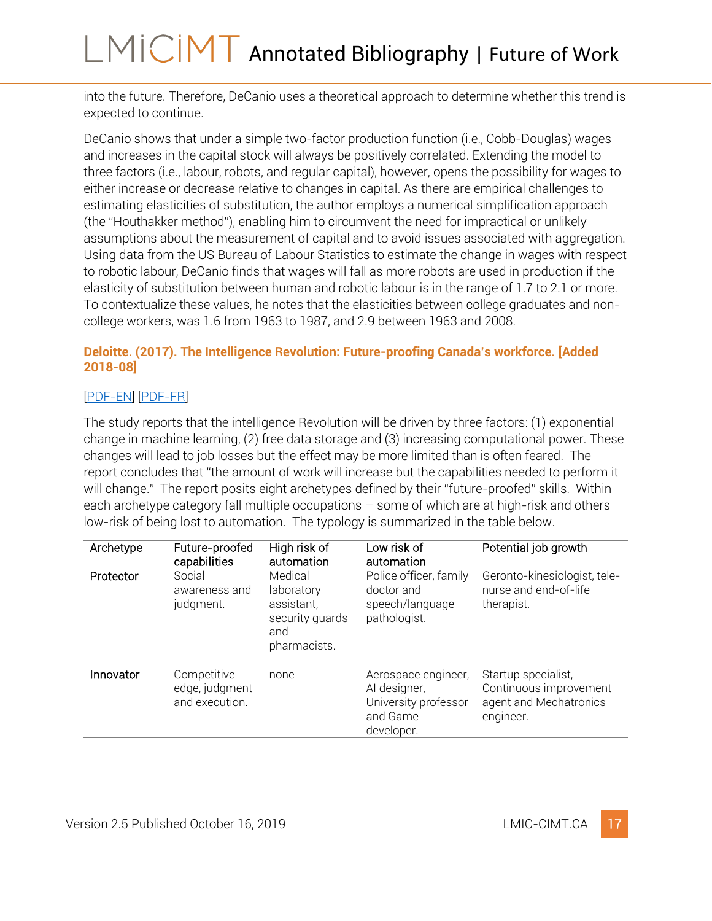into the future. Therefore, DeCanio uses a theoretical approach to determine whether this trend is expected to continue.

DeCanio shows that under a simple two-factor production function (i.e., Cobb-Douglas) wages and increases in the capital stock will always be positively correlated. Extending the model to three factors (i.e., labour, robots, and regular capital), however, opens the possibility for wages to either increase or decrease relative to changes in capital. As there are empirical challenges to estimating elasticities of substitution, the author employs a numerical simplification approach (the "Houthakker method"), enabling him to circumvent the need for impractical or unlikely assumptions about the measurement of capital and to avoid issues associated with aggregation. Using data from the US Bureau of Labour Statistics to estimate the change in wages with respect to robotic labour, DeCanio finds that wages will fall as more robots are used in production if the elasticity of substitution between human and robotic labour is in the range of 1.7 to 2.1 or more. To contextualize these values, he notes that the elasticities between college graduates and noncollege workers, was 1.6 from 1963 to 1987, and 2.9 between 1963 and 2008.

### <span id="page-17-0"></span>**Deloitte. (2017). The Intelligence Revolution: Future-proofing Canada's workforce. [Added 2018-08]**

### [\[PDF-EN\]](https://www2.deloitte.com/content/dam/Deloitte/ca/Documents/human-capital/ca-EN-HC-The-Intelligence-Revolution-FINAL-AODA.pdf) [\[PDF-FR\]](https://www2.deloitte.com/content/dam/Deloitte/ca/Documents/human-capital/ca-FR-HC-The-Intelligence-Revolution-FINAL-AODA.pdf)

The study reports that the intelligence Revolution will be driven by three factors: (1) exponential change in machine learning, (2) free data storage and (3) increasing computational power. These changes will lead to job losses but the effect may be more limited than is often feared. The report concludes that "the amount of work will increase but the capabilities needed to perform it will change." The report posits eight archetypes defined by their "future-proofed" skills. Within each archetype category fall multiple occupations – some of which are at high-risk and others low-risk of being lost to automation. The typology is summarized in the table below.

| Archetype | Future-proofed<br>capabilities                  | High risk of<br>automation                                                    | Low risk of<br>automation                                                             | Potential job growth                                                                 |
|-----------|-------------------------------------------------|-------------------------------------------------------------------------------|---------------------------------------------------------------------------------------|--------------------------------------------------------------------------------------|
| Protector | Social<br>awareness and<br>judgment.            | Medical<br>laboratory<br>assistant,<br>security guards<br>and<br>pharmacists. | Police officer, family<br>doctor and<br>speech/language<br>pathologist.               | Geronto-kinesiologist, tele-<br>nurse and end-of-life<br>therapist.                  |
| Innovator | Competitive<br>edge, judgment<br>and execution. | none                                                                          | Aerospace engineer,<br>Al designer,<br>University professor<br>and Game<br>developer. | Startup specialist,<br>Continuous improvement<br>agent and Mechatronics<br>engineer. |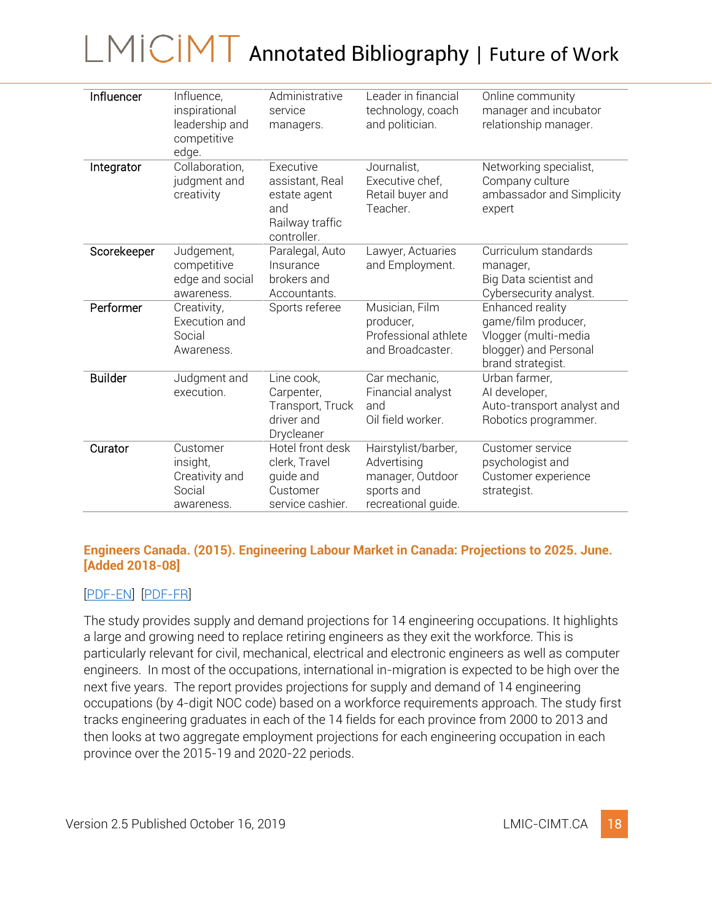| Influencer     | Influence,<br>inspirational<br>leadership and<br>competitive<br>edge. | Administrative<br>service<br>managers.                                                | Leader in financial<br>technology, coach<br>and politician.                                 | Online community<br>manager and incubator<br>relationship manager.                                            |
|----------------|-----------------------------------------------------------------------|---------------------------------------------------------------------------------------|---------------------------------------------------------------------------------------------|---------------------------------------------------------------------------------------------------------------|
| Integrator     | Collaboration,<br>judgment and<br>creativity                          | Executive<br>assistant, Real<br>estate agent<br>and<br>Railway traffic<br>controller. | Journalist,<br>Executive chef,<br>Retail buyer and<br>Teacher.                              | Networking specialist,<br>Company culture<br>ambassador and Simplicity<br>expert                              |
| Scorekeeper    | Judgement,<br>competitive<br>edge and social<br>awareness.            | Paralegal, Auto<br>Insurance<br>brokers and<br>Accountants.                           | Lawyer, Actuaries<br>and Employment.                                                        | Curriculum standards<br>manager,<br>Big Data scientist and<br>Cybersecurity analyst.                          |
| Performer      | Creativity,<br>Execution and<br>Social<br>Awareness.                  | Sports referee                                                                        | Musician, Film<br>producer,<br>Professional athlete<br>and Broadcaster.                     | Enhanced reality<br>game/film producer,<br>Vlogger (multi-media<br>blogger) and Personal<br>brand strategist. |
| <b>Builder</b> | Judgment and<br>execution.                                            | Line cook,<br>Carpenter,<br>Transport, Truck<br>driver and<br>Drycleaner              | Car mechanic,<br>Financial analyst<br>and<br>Oil field worker.                              | Urban farmer,<br>AI developer,<br>Auto-transport analyst and<br>Robotics programmer.                          |
| Curator        | Customer<br>insight,<br>Creativity and<br>Social<br>awareness.        | Hotel front desk<br>clerk, Travel<br>quide and<br>Customer<br>service cashier.        | Hairstylist/barber,<br>Advertising<br>manager, Outdoor<br>sports and<br>recreational guide. | Customer service<br>psychologist and<br>Customer experience<br>strategist.                                    |

#### <span id="page-18-0"></span>**Engineers Canada. (2015). Engineering Labour Market in Canada: Projections to 2025. June. [Added 2018-08]**

### [\[PDF-EN\]](https://engineerscanada.ca/sites/default/files/Labour-Market-2015-e.pdf) [\[PDF-FR\]](https://engineerscanada.ca/sites/default/files/Labour-Market-2015-fr.pdf)

The study provides supply and demand projections for 14 engineering occupations. It highlights a large and growing need to replace retiring engineers as they exit the workforce. This is particularly relevant for civil, mechanical, electrical and electronic engineers as well as computer engineers. In most of the occupations, international in-migration is expected to be high over the next five years. The report provides projections for supply and demand of 14 engineering occupations (by 4-digit NOC code) based on a workforce requirements approach. The study first tracks engineering graduates in each of the 14 fields for each province from 2000 to 2013 and then looks at two aggregate employment projections for each engineering occupation in each province over the 2015-19 and 2020-22 periods.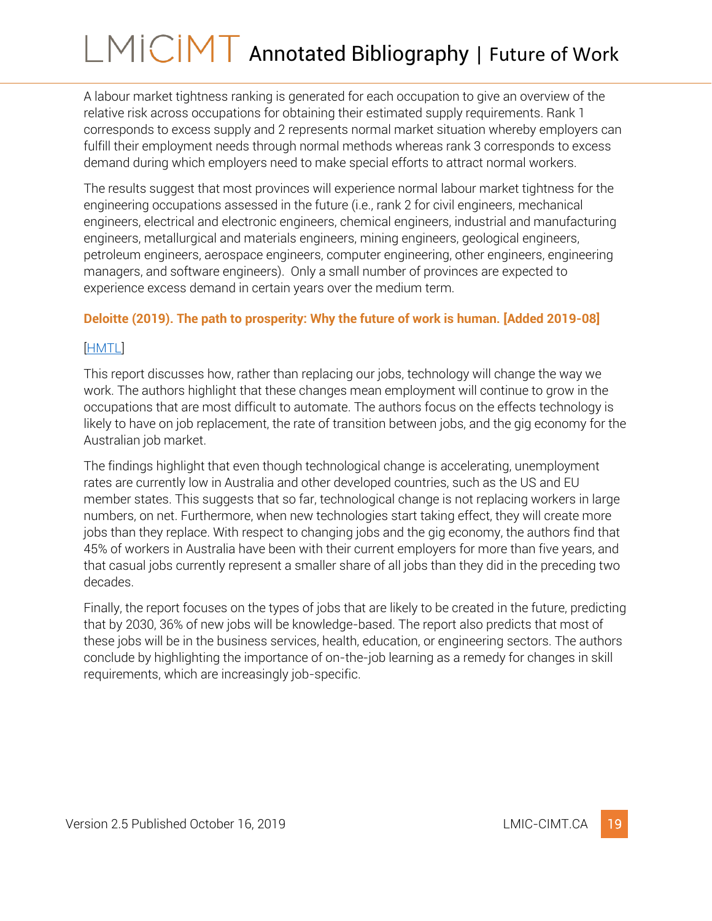A labour market tightness ranking is generated for each occupation to give an overview of the relative risk across occupations for obtaining their estimated supply requirements. Rank 1 corresponds to excess supply and 2 represents normal market situation whereby employers can fulfill their employment needs through normal methods whereas rank 3 corresponds to excess demand during which employers need to make special efforts to attract normal workers.

The results suggest that most provinces will experience normal labour market tightness for the engineering occupations assessed in the future (i.e., rank 2 for civil engineers, mechanical engineers, electrical and electronic engineers, chemical engineers, industrial and manufacturing engineers, metallurgical and materials engineers, mining engineers, geological engineers, petroleum engineers, aerospace engineers, computer engineering, other engineers, engineering managers, and software engineers). Only a small number of provinces are expected to experience excess demand in certain years over the medium term.

### <span id="page-19-0"></span>**Deloitte (2019). The path to prosperity: Why the future of work is human. [Added 2019-08]**

### [\[HMTL\]](https://www2.deloitte.com/insights/us/en/focus/technology-and-the-future-of-work/building-the-lucky-country.html?id=us:2el:3dc:4diAU22531:5awa:6di:fow&pkid=1006529)

This report discusses how, rather than replacing our jobs, technology will change the way we work. The authors highlight that these changes mean employment will continue to grow in the occupations that are most difficult to automate. The authors focus on the effects technology is likely to have on job replacement, the rate of transition between jobs, and the gig economy for the Australian job market.

The findings highlight that even though technological change is accelerating, unemployment rates are currently low in Australia and other developed countries, such as the US and EU member states. This suggests that so far, technological change is not replacing workers in large numbers, on net. Furthermore, when new technologies start taking effect, they will create more jobs than they replace. With respect to changing jobs and the gig economy, the authors find that 45% of workers in Australia have been with their current employers for more than five years, and that casual jobs currently represent a smaller share of all jobs than they did in the preceding two decades.

Finally, the report focuses on the types of jobs that are likely to be created in the future, predicting that by 2030, 36% of new jobs will be knowledge-based. The report also predicts that most of these jobs will be in the business services, health, education, or engineering sectors. The authors conclude by highlighting the importance of on-the-job learning as a remedy for changes in skill requirements, which are increasingly job-specific.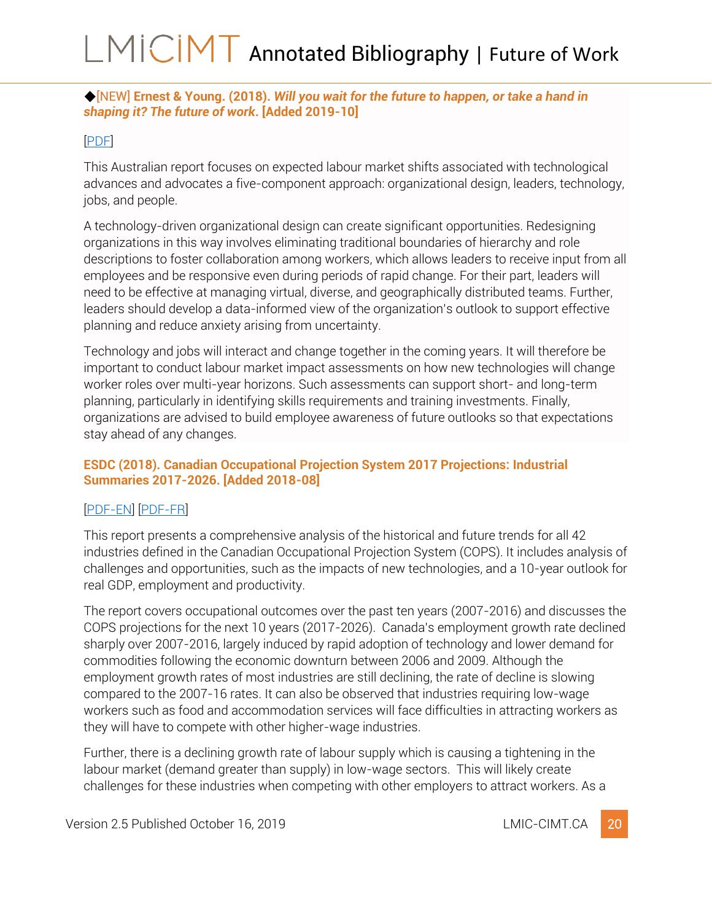### <span id="page-20-0"></span>◆[NEW] **Ernest & Young. (2018).** *Will you wait for the future to happen, or take a hand in shaping it? The future of work***. [Added 2019-10]**

### [\[PDF\]](https://www.ey.com/Publication/vwLUAssets/ey-future-of-work-insights-report/$FILE/ey-future-of-work-insights-report.pdf)

This Australian report focuses on expected labour market shifts associated with technological advances and advocates a five-component approach: organizational design, leaders, technology, jobs, and people.

A technology-driven organizational design can create significant opportunities. Redesigning organizations in this way involves eliminating traditional boundaries of hierarchy and role descriptions to foster collaboration among workers, which allows leaders to receive input from all employees and be responsive even during periods of rapid change. For their part, leaders will need to be effective at managing virtual, diverse, and geographically distributed teams. Further, leaders should develop a data-informed view of the organization's outlook to support effective planning and reduce anxiety arising from uncertainty.

Technology and jobs will interact and change together in the coming years. It will therefore be important to conduct labour market impact assessments on how new technologies will change worker roles over multi-year horizons. Such assessments can support short- and long-term planning, particularly in identifying skills requirements and training investments. Finally, organizations are advised to build employee awareness of future outlooks so that expectations stay ahead of any changes.

### <span id="page-20-1"></span>**ESDC (2018). Canadian Occupational Projection System 2017 Projections: Industrial Summaries 2017-2026. [Added 2018-08]**

### [\[PDF-EN\]](http://occupations.esdc.gc.ca/sppc-cops/maint/file/download/SSPB-EPD-COPS2017IndustrialSummaries-Report-20180321-EN-VERY%20FINAL.pdf) [\[PDF-FR\]](http://occupations.esdc.gc.ca/sppc-cops/maint/file/download/SSPB-EPD-COPS2017IndustrialSummaries-Report-20180321-FR-VERY%20FINAL.pdf)

This report presents a comprehensive analysis of the historical and future trends for all 42 industries defined in the Canadian Occupational Projection System (COPS). It includes analysis of challenges and opportunities, such as the impacts of new technologies, and a 10-year outlook for real GDP, employment and productivity.

The report covers occupational outcomes over the past ten years (2007-2016) and discusses the COPS projections for the next 10 years (2017-2026). Canada's employment growth rate declined sharply over 2007-2016, largely induced by rapid adoption of technology and lower demand for commodities following the economic downturn between 2006 and 2009. Although the employment growth rates of most industries are still declining, the rate of decline is slowing compared to the 2007-16 rates. It can also be observed that industries requiring low-wage workers such as food and accommodation services will face difficulties in attracting workers as they will have to compete with other higher-wage industries.

Further, there is a declining growth rate of labour supply which is causing a tightening in the labour market (demand greater than supply) in low-wage sectors. This will likely create challenges for these industries when competing with other employers to attract workers. As a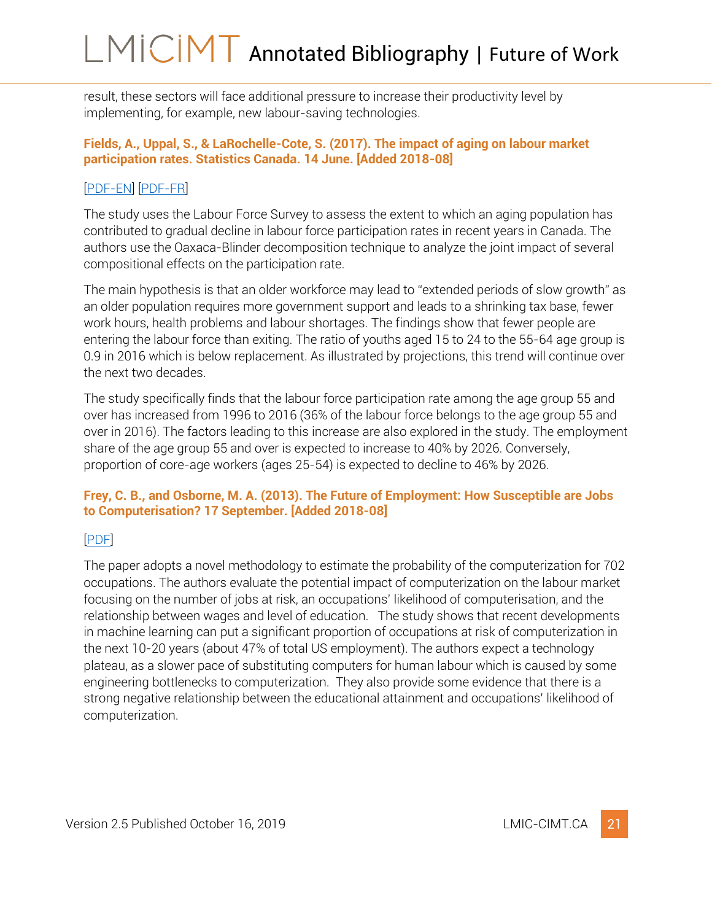result, these sectors will face additional pressure to increase their productivity level by implementing, for example, new labour-saving technologies.

### <span id="page-21-0"></span>**Fields, A., Uppal, S., & LaRochelle-Cote, S. (2017). The impact of aging on labour market participation rates. Statistics Canada. 14 June. [Added 2018-08]**

### [\[PDF-EN\]](https://www150.statcan.gc.ca/n1/en/pub/75-006-x/2017001/article/14826-eng.pdf?st=jTkD2GnP) [\[PDF-FR\]](https://www150.statcan.gc.ca/n1/fr/pub/75-006-x/2017001/article/14826-fra.pdf?st=e3oLaqGT)

The study uses the Labour Force Survey to assess the extent to which an aging population has contributed to gradual decline in labour force participation rates in recent years in Canada. The authors use the Oaxaca-Blinder decomposition technique to analyze the joint impact of several compositional effects on the participation rate.

The main hypothesis is that an older workforce may lead to "extended periods of slow growth" as an older population requires more government support and leads to a shrinking tax base, fewer work hours, health problems and labour shortages. The findings show that fewer people are entering the labour force than exiting. The ratio of youths aged 15 to 24 to the 55-64 age group is 0.9 in 2016 which is below replacement. As illustrated by projections, this trend will continue over the next two decades.

The study specifically finds that the labour force participation rate among the age group 55 and over has increased from 1996 to 2016 (36% of the labour force belongs to the age group 55 and over in 2016). The factors leading to this increase are also explored in the study. The employment share of the age group 55 and over is expected to increase to 40% by 2026. Conversely, proportion of core-age workers (ages 25-54) is expected to decline to 46% by 2026.

### <span id="page-21-1"></span>**Frey, C. B., and Osborne, M. A. (2013). The Future of Employment: How Susceptible are Jobs to Computerisation? 17 September. [Added 2018-08]**

### [\[PDF\]](https://www.oxfordmartin.ox.ac.uk/downloads/academic/The_Future_of_Employment.pdf)

The paper adopts a novel methodology to estimate the probability of the computerization for 702 occupations. The authors evaluate the potential impact of computerization on the labour market focusing on the number of jobs at risk, an occupations' likelihood of computerisation, and the relationship between wages and level of education. The study shows that recent developments in machine learning can put a significant proportion of occupations at risk of computerization in the next 10-20 years (about 47% of total US employment). The authors expect a technology plateau, as a slower pace of substituting computers for human labour which is caused by some engineering bottlenecks to computerization. They also provide some evidence that there is a strong negative relationship between the educational attainment and occupations' likelihood of computerization.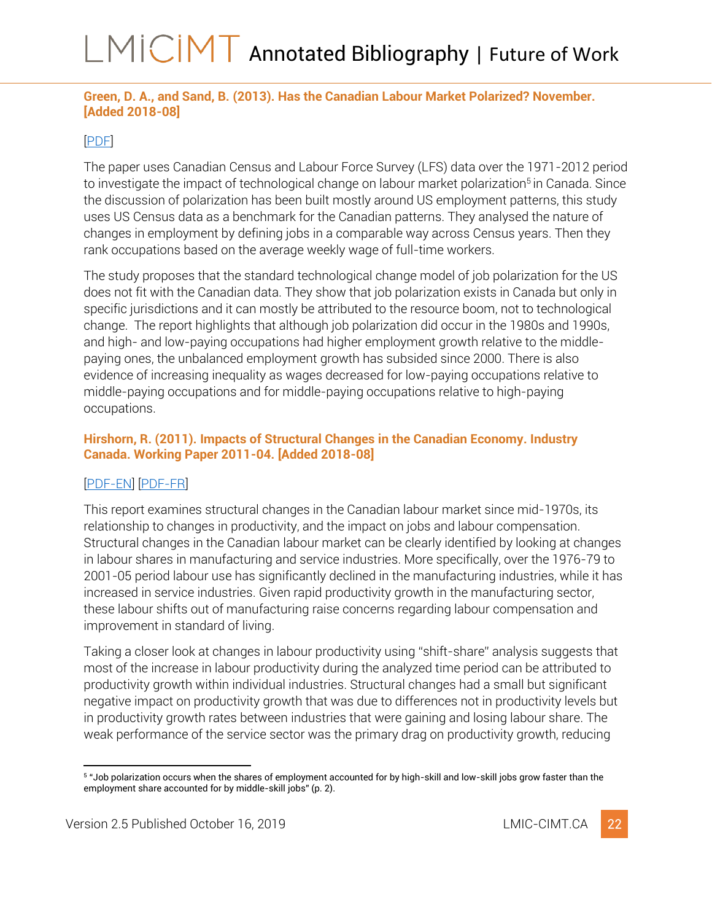### <span id="page-22-0"></span>**Green, D. A., and Sand, B. (2013). Has the Canadian Labour Market Polarized? November. [Added 2018-08]**

### [\[PDF\]](https://economics.ubc.ca/files/2014/02/pdf_paper_david-green-canadian-labour-polarized.pdf)

The paper uses Canadian Census and Labour Force Survey (LFS) data over the 1971-2012 period to investigate the impact of technological change on labour market polarization<sup>5</sup> in Canada. Since the discussion of polarization has been built mostly around US employment patterns, this study uses US Census data as a benchmark for the Canadian patterns. They analysed the nature of changes in employment by defining jobs in a comparable way across Census years. Then they rank occupations based on the average weekly wage of full-time workers.

The study proposes that the standard technological change model of job polarization for the US does not fit with the Canadian data. They show that job polarization exists in Canada but only in specific jurisdictions and it can mostly be attributed to the resource boom, not to technological change. The report highlights that although job polarization did occur in the 1980s and 1990s, and high- and low-paying occupations had higher employment growth relative to the middlepaying ones, the unbalanced employment growth has subsided since 2000. There is also evidence of increasing inequality as wages decreased for low-paying occupations relative to middle-paying occupations and for middle-paying occupations relative to high-paying occupations.

### <span id="page-22-1"></span>**Hirshorn, R. (2011). Impacts of Structural Changes in the Canadian Economy. Industry Canada. Working Paper 2011-04. [Added 2018-08]**

### [\[PDF-EN\]](https://www.ic.gc.ca/eic/site/eas-aes.nsf/vwapj/WP_2011-04_Hirshorn_ENG_2015.pdf/$FILE/WP_2011-04_Hirshorn_ENG_2015.pdf) [\[PDF-FR\]](https://www.ic.gc.ca/eic/site/eas-aes.nsf/vwapj/WP_2011-04_Hirshorn_Juin_2015-fra.pdf/$FILE/WP_2011-04_Hirshorn_Juin_2015-fra.pdf)

This report examines structural changes in the Canadian labour market since mid-1970s, its relationship to changes in productivity, and the impact on jobs and labour compensation. Structural changes in the Canadian labour market can be clearly identified by looking at changes in labour shares in manufacturing and service industries. More specifically, over the 1976-79 to 2001-05 period labour use has significantly declined in the manufacturing industries, while it has increased in service industries. Given rapid productivity growth in the manufacturing sector, these labour shifts out of manufacturing raise concerns regarding labour compensation and improvement in standard of living.

Taking a closer look at changes in labour productivity using "shift-share" analysis suggests that most of the increase in labour productivity during the analyzed time period can be attributed to productivity growth within individual industries. Structural changes had a small but significant negative impact on productivity growth that was due to differences not in productivity levels but in productivity growth rates between industries that were gaining and losing labour share. The weak performance of the service sector was the primary drag on productivity growth, reducing

<sup>5</sup> "Job polarization occurs when the shares of employment accounted for by high-skill and low-skill jobs grow faster than the employment share accounted for by middle-skill jobs" (p. 2).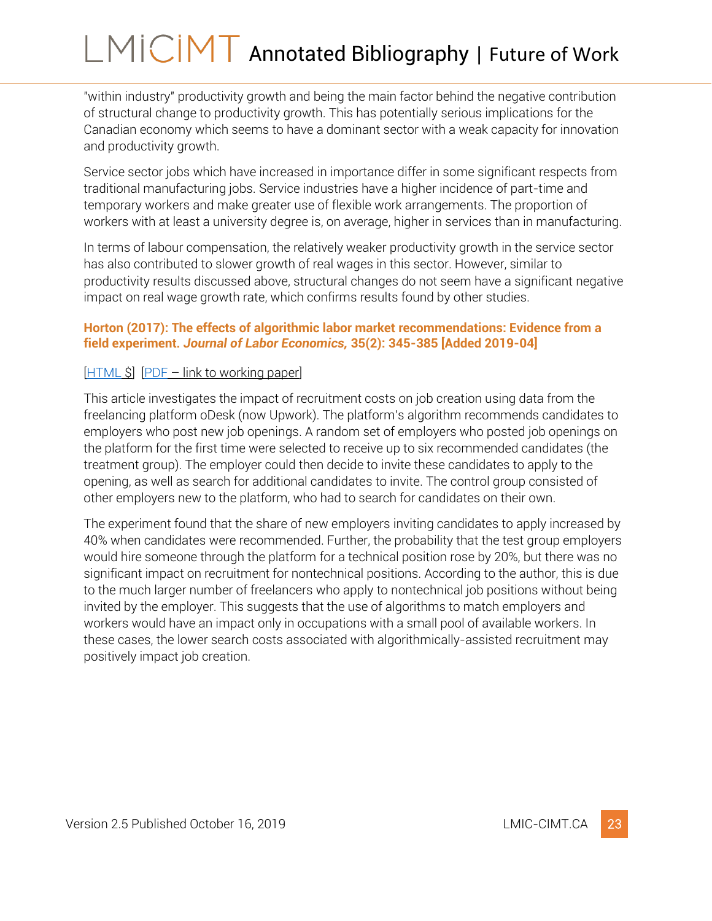"within industry" productivity growth and being the main factor behind the negative contribution of structural change to productivity growth. This has potentially serious implications for the Canadian economy which seems to have a dominant sector with a weak capacity for innovation and productivity growth.

Service sector jobs which have increased in importance differ in some significant respects from traditional manufacturing jobs. Service industries have a higher incidence of part-time and temporary workers and make greater use of flexible work arrangements. The proportion of workers with at least a university degree is, on average, higher in services than in manufacturing.

In terms of labour compensation, the relatively weaker productivity growth in the service sector has also contributed to slower growth of real wages in this sector. However, similar to productivity results discussed above, structural changes do not seem have a significant negative impact on real wage growth rate, which confirms results found by other studies.

### <span id="page-23-0"></span>**Horton (2017): The effects of algorithmic labor market recommendations: Evidence from a field experiment.** *Journal of Labor Economics,* **35(2): 345-385 [Added 2019-04]**

### [\[HTML](https://www.journals.uchicago.edu/doi/pdfplus/10.1086/689213) \$] [\[PDF](https://pdfs.semanticscholar.org/7f7c/d49dfc63faf01fdf5ec852f8e31d2dd8cea2.pdf) – link to working paper]

This article investigates the impact of recruitment costs on job creation using data from the freelancing platform oDesk (now Upwork). The platform's algorithm recommends candidates to employers who post new job openings. A random set of employers who posted job openings on the platform for the first time were selected to receive up to six recommended candidates (the treatment group). The employer could then decide to invite these candidates to apply to the opening, as well as search for additional candidates to invite. The control group consisted of other employers new to the platform, who had to search for candidates on their own.

The experiment found that the share of new employers inviting candidates to apply increased by 40% when candidates were recommended. Further, the probability that the test group employers would hire someone through the platform for a technical position rose by 20%, but there was no significant impact on recruitment for nontechnical positions. According to the author, this is due to the much larger number of freelancers who apply to nontechnical job positions without being invited by the employer. This suggests that the use of algorithms to match employers and workers would have an impact only in occupations with a small pool of available workers. In these cases, the lower search costs associated with algorithmically-assisted recruitment may positively impact job creation.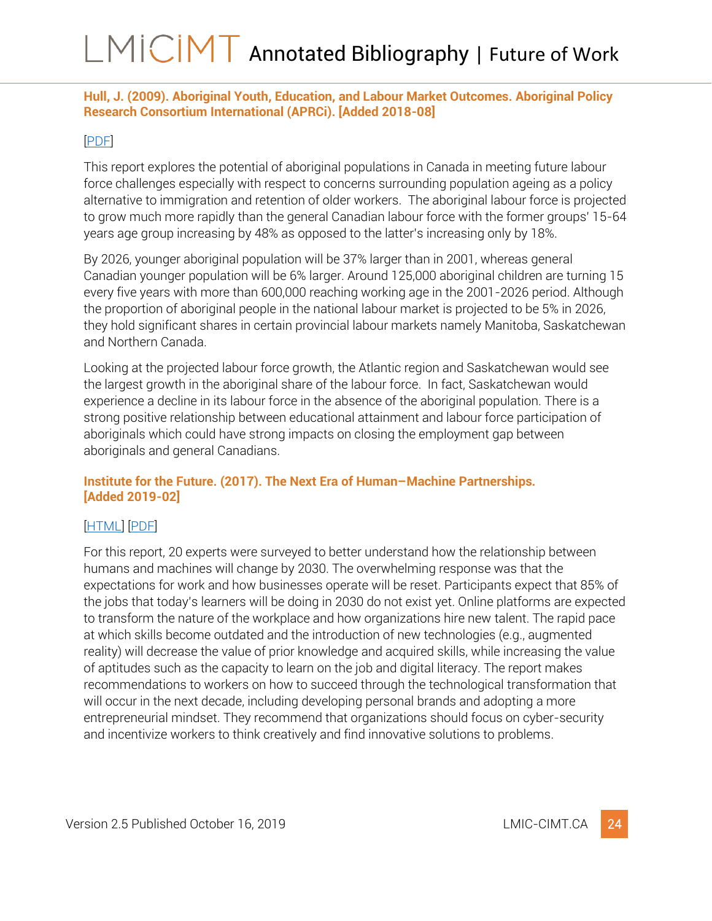### <span id="page-24-0"></span>**Hull, J. (2009). Aboriginal Youth, Education, and Labour Market Outcomes. Aboriginal Policy Research Consortium International (APRCi). [Added 2018-08]**

### [\[PDF\]](https://ir.lib.uwo.ca/cgi/viewcontent.cgi?article=1432&context=aprci)

This report explores the potential of aboriginal populations in Canada in meeting future labour force challenges especially with respect to concerns surrounding population ageing as a policy alternative to immigration and retention of older workers. The aboriginal labour force is projected to grow much more rapidly than the general Canadian labour force with the former groups' 15-64 years age group increasing by 48% as opposed to the latter's increasing only by 18%.

By 2026, younger aboriginal population will be 37% larger than in 2001, whereas general Canadian younger population will be 6% larger. Around 125,000 aboriginal children are turning 15 every five years with more than 600,000 reaching working age in the 2001-2026 period. Although the proportion of aboriginal people in the national labour market is projected to be 5% in 2026, they hold significant shares in certain provincial labour markets namely Manitoba, Saskatchewan and Northern Canada.

Looking at the projected labour force growth, the Atlantic region and Saskatchewan would see the largest growth in the aboriginal share of the labour force. In fact, Saskatchewan would experience a decline in its labour force in the absence of the aboriginal population. There is a strong positive relationship between educational attainment and labour force participation of aboriginals which could have strong impacts on closing the employment gap between aboriginals and general Canadians.

### <span id="page-24-1"></span>**Institute for the Future. (2017). The Next Era of Human–Machine Partnerships***.*  **[Added 2019-02]**

### [\[HTML\]](http://www.iftf.org/humanmachinepartnerships/) [\[PDF\]](http://www.iftf.org/fileadmin/user_upload/downloads/th/SR1940_IFTFforDellTechnologies_Human-Machine_070717_readerhigh-res.pdf)

For this report, 20 experts were surveyed to better understand how the relationship between humans and machines will change by 2030. The overwhelming response was that the expectations for work and how businesses operate will be reset. Participants expect that 85% of the jobs that today's learners will be doing in 2030 do not exist yet. Online platforms are expected to transform the nature of the workplace and how organizations hire new talent. The rapid pace at which skills become outdated and the introduction of new technologies (e.g., augmented reality) will decrease the value of prior knowledge and acquired skills, while increasing the value of aptitudes such as the capacity to learn on the job and digital literacy. The report makes recommendations to workers on how to succeed through the technological transformation that will occur in the next decade, including developing personal brands and adopting a more entrepreneurial mindset. They recommend that organizations should focus on cyber-security and incentivize workers to think creatively and find innovative solutions to problems.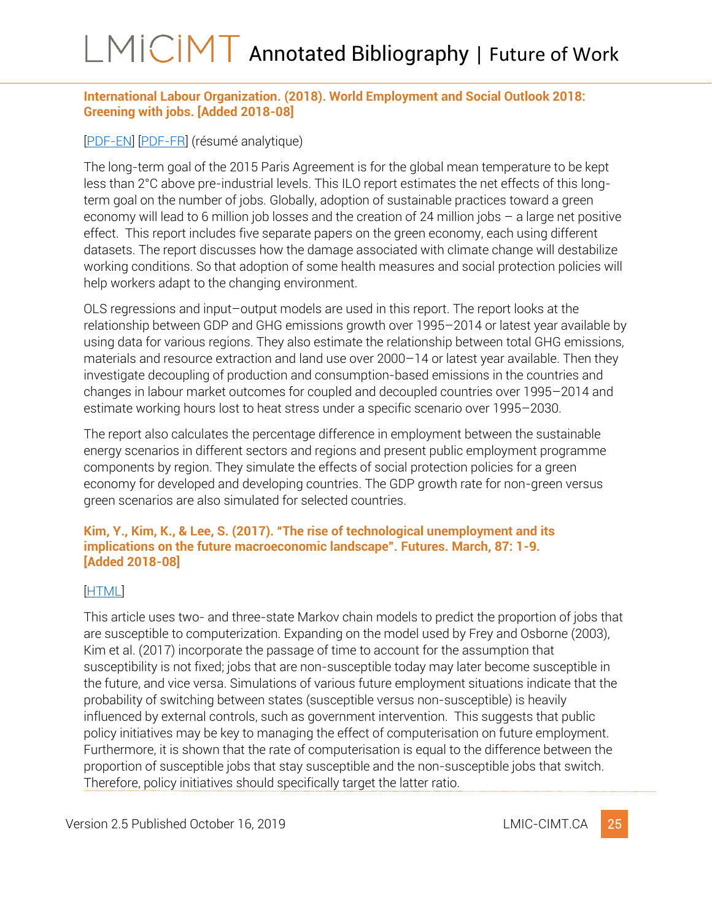### <span id="page-25-0"></span>**International Labour Organization. (2018). World Employment and Social Outlook 2018: Greening with jobs. [Added 2018-08]**

## [\[PDF-EN\]](https://www.ilo.org/weso-greening/documents/WESO_Greening_EN_web2.pdf) [\[PDF-FR\]](http://www.ilo.org/wcmsp5/groups/public/---dgreports/---dcomm/---publ/documents/publication/wcms_628709.pdf) (résumé analytique)

The long-term goal of the 2015 Paris Agreement is for the global mean temperature to be kept less than 2°C above pre-industrial levels. This ILO report estimates the net effects of this longterm goal on the number of jobs. Globally, adoption of sustainable practices toward a green economy will lead to 6 million job losses and the creation of 24 million jobs – a large net positive effect. This report includes five separate papers on the green economy, each using different datasets. The report discusses how the damage associated with climate change will destabilize working conditions. So that adoption of some health measures and social protection policies will help workers adapt to the changing environment.

OLS regressions and input–output models are used in this report. The report looks at the relationship between GDP and GHG emissions growth over 1995–2014 or latest year available by using data for various regions. They also estimate the relationship between total GHG emissions, materials and resource extraction and land use over 2000–14 or latest year available. Then they investigate decoupling of production and consumption-based emissions in the countries and changes in labour market outcomes for coupled and decoupled countries over 1995–2014 and estimate working hours lost to heat stress under a specific scenario over 1995–2030.

The report also calculates the percentage difference in employment between the sustainable energy scenarios in different sectors and regions and present public employment programme components by region. They simulate the effects of social protection policies for a green economy for developed and developing countries. The GDP growth rate for non-green versus green scenarios are also simulated for selected countries.

### <span id="page-25-1"></span>**Kim, Y., Kim, K., & Lee, S. (2017). "The rise of technological unemployment and its implications on the future macroeconomic landscape". Futures. March, 87: 1-9. [Added 2018-08]**

### [\[HTML\]](https://www.sciencedirect.com/science/article/pii/S0016328716302063)

This article uses two- and three-state Markov chain models to predict the proportion of jobs that are susceptible to computerization. Expanding on the model used by Frey and Osborne (2003), Kim et al. (2017) incorporate the passage of time to account for the assumption that susceptibility is not fixed; jobs that are non-susceptible today may later become susceptible in the future, and vice versa. Simulations of various future employment situations indicate that the probability of switching between states (susceptible versus non-susceptible) is heavily influenced by external controls, such as government intervention. This suggests that public policy initiatives may be key to managing the effect of computerisation on future employment. Furthermore, it is shown that the rate of computerisation is equal to the difference between the proportion of susceptible jobs that stay susceptible and the non-susceptible jobs that switch. Therefore, policy initiatives should specifically target the latter ratio.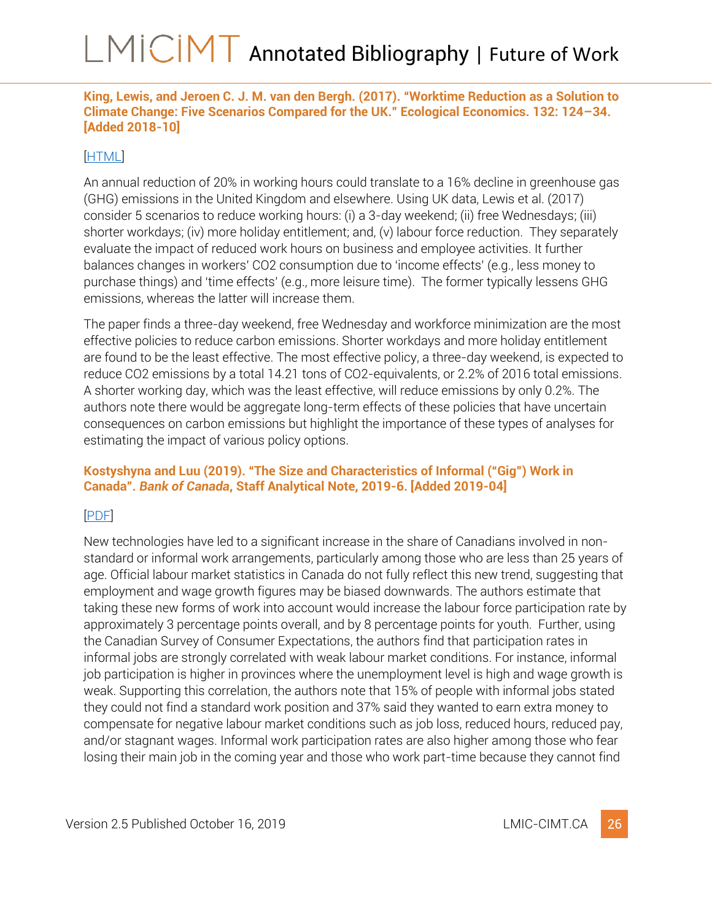<span id="page-26-0"></span>**King, Lewis, and Jeroen C. J. M. van den Bergh. (2017). "Worktime Reduction as a Solution to Climate Change: Five Scenarios Compared for the UK." Ecological Economics. 132: 124–34. [Added 2018-10]**

### [\[HTML\]](https://www.sciencedirect.com/science/article/pii/S0921800916302579)

An annual reduction of 20% in working hours could translate to a 16% decline in greenhouse gas (GHG) emissions in the United Kingdom and elsewhere. Using UK data, Lewis et al. (2017) consider 5 scenarios to reduce working hours: (i) a 3-day weekend; (ii) free Wednesdays; (iii) shorter workdays; (iv) more holiday entitlement; and, (v) labour force reduction. They separately evaluate the impact of reduced work hours on business and employee activities. It further balances changes in workers' CO2 consumption due to 'income effects' (e.g., less money to purchase things) and 'time effects' (e.g., more leisure time). The former typically lessens GHG emissions, whereas the latter will increase them.

The paper finds a three-day weekend, free Wednesday and workforce minimization are the most effective policies to reduce carbon emissions. Shorter workdays and more holiday entitlement are found to be the least effective. The most effective policy, a three-day weekend, is expected to reduce CO2 emissions by a total 14.21 tons of CO2-equivalents, or 2.2% of 2016 total emissions. A shorter working day, which was the least effective, will reduce emissions by only 0.2%. The authors note there would be aggregate long-term effects of these policies that have uncertain consequences on carbon emissions but highlight the importance of these types of analyses for estimating the impact of various policy options.

### <span id="page-26-1"></span>**Kostyshyna and Luu (2019). "The Size and Characteristics of Informal ("Gig") Work in Canada".** *Bank of Canada***, Staff Analytical Note, 2019-6. [Added 2019-04]**

### [\[PDF\]](https://www.bankofcanada.ca/wp-content/uploads/2019/02/san2019-6.pdf)

New technologies have led to a significant increase in the share of Canadians involved in nonstandard or informal work arrangements, particularly among those who are less than 25 years of age. Official labour market statistics in Canada do not fully reflect this new trend, suggesting that employment and wage growth figures may be biased downwards. The authors estimate that taking these new forms of work into account would increase the labour force participation rate by approximately 3 percentage points overall, and by 8 percentage points for youth. Further, using the Canadian Survey of Consumer Expectations, the authors find that participation rates in informal jobs are strongly correlated with weak labour market conditions. For instance, informal job participation is higher in provinces where the unemployment level is high and wage growth is weak. Supporting this correlation, the authors note that 15% of people with informal jobs stated they could not find a standard work position and 37% said they wanted to earn extra money to compensate for negative labour market conditions such as job loss, reduced hours, reduced pay, and/or stagnant wages. Informal work participation rates are also higher among those who fear losing their main job in the coming year and those who work part-time because they cannot find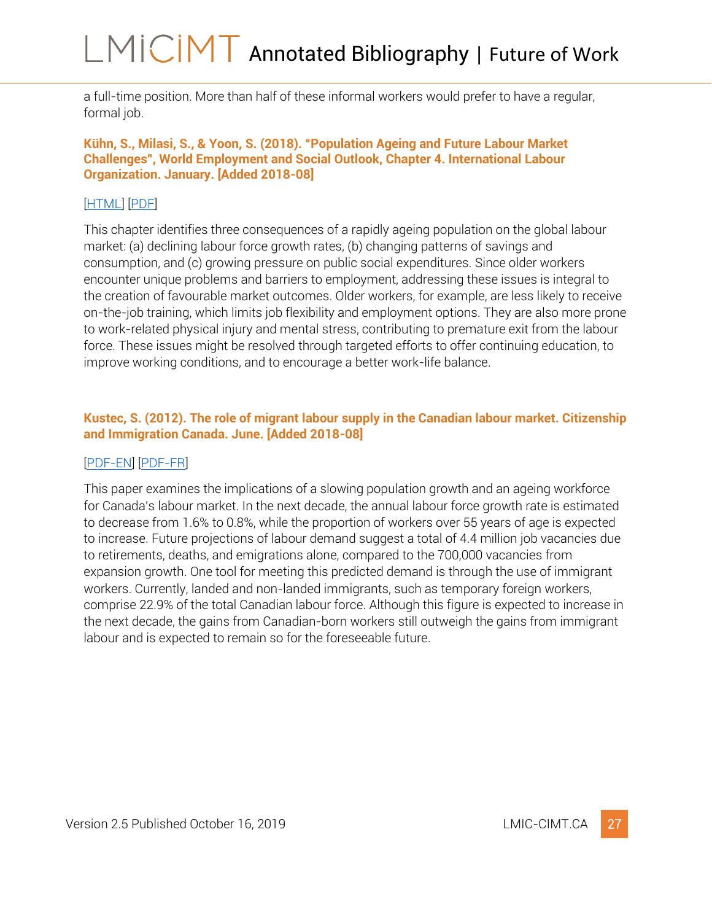a full-time position. More than half of these informal workers would prefer to have a regular, formal job.

#### <span id="page-27-0"></span>**Kühn, S., Milasi, S., & Yoon, S. (2018). "Population Ageing and Future Labour Market Challenges", World Employment and Social Outlook, Chapter 4. International Labour Organization. January. [Added 2018-08]**

## [\[HTML\]](https://onlinelibrary.wiley.com/doi/abs/10.1002/wow3.127) [\[PDF\]](https://onlinelibrary.wiley.com/doi/epdf/10.1002/wow3.127)

This chapter identifies three consequences of a rapidly ageing population on the global labour market: (a) declining labour force growth rates, (b) changing patterns of savings and consumption, and (c) growing pressure on public social expenditures. Since older workers encounter unique problems and barriers to employment, addressing these issues is integral to the creation of favourable market outcomes. Older workers, for example, are less likely to receive on-the-job training, which limits job flexibility and employment options. They are also more prone to work-related physical injury and mental stress, contributing to premature exit from the labour force. These issues might be resolved through targeted efforts to offer continuing education, to improve working conditions, and to encourage a better work-life balance.

### <span id="page-27-1"></span>**Kustec, S. (2012). The role of migrant labour supply in the Canadian labour market. Citizenship and Immigration Canada. June. [Added 2018-08]**

### [\[PDF-EN\]](https://www.canada.ca/content/dam/ircc/migration/ircc/english/resources/research/2012-migrant/documents/pdf/migrant2012-eng.pdf) [\[PDF-FR\]](https://www.canada.ca/content/dam/ircc/migration/ircc/francais/ressources/recherche/2012-migrant/documents/pdf/migrant2012-fra.pdf)

This paper examines the implications of a slowing population growth and an ageing workforce for Canada's labour market. In the next decade, the annual labour force growth rate is estimated to decrease from 1.6% to 0.8%, while the proportion of workers over 55 years of age is expected to increase. Future projections of labour demand suggest a total of 4.4 million job vacancies due to retirements, deaths, and emigrations alone, compared to the 700,000 vacancies from expansion growth. One tool for meeting this predicted demand is through the use of immigrant workers. Currently, landed and non-landed immigrants, such as temporary foreign workers, comprise 22.9% of the total Canadian labour force. Although this figure is expected to increase in the next decade, the gains from Canadian-born workers still outweigh the gains from immigrant labour and is expected to remain so for the foreseeable future.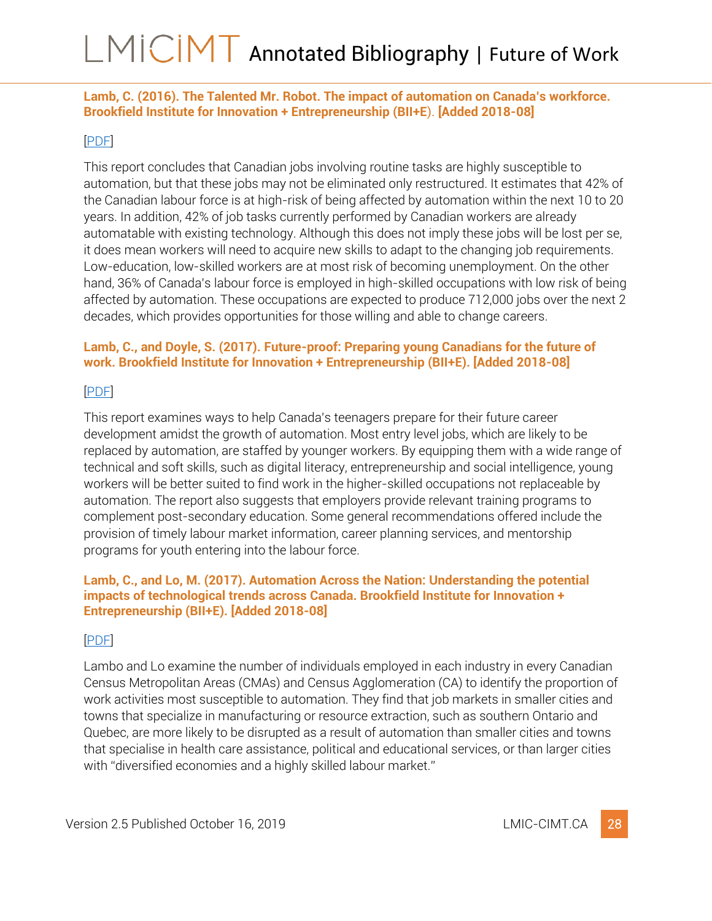<span id="page-28-0"></span>**Lamb, C. (2016). The Talented Mr. Robot. The impact of automation on Canada's workforce. Brookfield Institute for Innovation + Entrepreneurship (BII+E**). **[Added 2018-08]**

#### [\[PDF\]](https://brookfieldinstitute.ca/wp-content/uploads/TalentedMrRobot_BIIE-1.pdf)

This report concludes that Canadian jobs involving routine tasks are highly susceptible to automation, but that these jobs may not be eliminated only restructured. It estimates that 42% of the Canadian labour force is at high-risk of being affected by automation within the next 10 to 20 years. In addition, 42% of job tasks currently performed by Canadian workers are already automatable with existing technology. Although this does not imply these jobs will be lost per se, it does mean workers will need to acquire new skills to adapt to the changing job requirements. Low-education, low-skilled workers are at most risk of becoming unemployment. On the other hand, 36% of Canada's labour force is employed in high-skilled occupations with low risk of being affected by automation. These occupations are expected to produce 712,000 jobs over the next 2 decades, which provides opportunities for those willing and able to change careers.

### <span id="page-28-1"></span>**Lamb, C., and Doyle, S. (2017). Future-proof: Preparing young Canadians for the future of work. Brookfield Institute for Innovation + Entrepreneurship (BII+E). [Added 2018-08]**

[\[PDF\]](https://brookfieldinstitute.ca/wp-content/uploads/FINAL-FP-report-Onlinev3.pdf)

This report examines ways to help Canada's teenagers prepare for their future career development amidst the growth of automation. Most entry level jobs, which are likely to be replaced by automation, are staffed by younger workers. By equipping them with a wide range of technical and soft skills, such as digital literacy, entrepreneurship and social intelligence, young workers will be better suited to find work in the higher-skilled occupations not replaceable by automation. The report also suggests that employers provide relevant training programs to complement post-secondary education. Some general recommendations offered include the provision of timely labour market information, career planning services, and mentorship programs for youth entering into the labour force.

#### <span id="page-28-2"></span>**Lamb, C., and Lo, M. (2017). Automation Across the Nation: Understanding the potential impacts of technological trends across Canada. Brookfield Institute for Innovation + Entrepreneurship (BII+E). [Added 2018-08]**

### [\[PDF\]](https://brookfieldinstitute.ca/wp-content/uploads/RP_BrookfieldInstitute_Automation-Across-the-Nation.pdf)

Lambo and Lo examine the number of individuals employed in each industry in every Canadian Census Metropolitan Areas (CMAs) and Census Agglomeration (CA) to identify the proportion of work activities most susceptible to automation. They find that job markets in smaller cities and towns that specialize in manufacturing or resource extraction, such as southern Ontario and Quebec, are more likely to be disrupted as a result of automation than smaller cities and towns that specialise in health care assistance, political and educational services, or than larger cities with "diversified economies and a highly skilled labour market."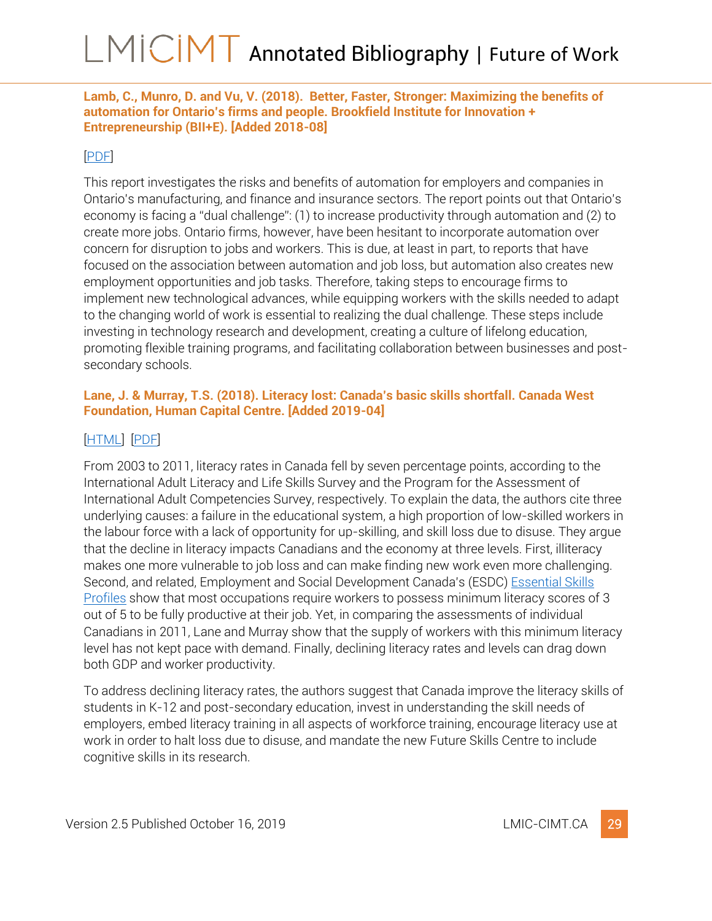<span id="page-29-0"></span>**Lamb, C., Munro, D. and Vu, V. (2018). Better, Faster, Stronger: Maximizing the benefits of automation for Ontario's firms and people. Brookfield Institute for Innovation + Entrepreneurship (BII+E). [Added 2018-08]**

### [\[PDF\]](https://brookfieldinstitute.ca/wp-content/uploads/Brookfield-Institute-Better-Faster-Stronger-2.pdf)

This report investigates the risks and benefits of automation for employers and companies in Ontario's manufacturing, and finance and insurance sectors. The report points out that Ontario's economy is facing a "dual challenge": (1) to increase productivity through automation and (2) to create more jobs. Ontario firms, however, have been hesitant to incorporate automation over concern for disruption to jobs and workers. This is due, at least in part, to reports that have focused on the association between automation and job loss, but automation also creates new employment opportunities and job tasks. Therefore, taking steps to encourage firms to implement new technological advances, while equipping workers with the skills needed to adapt to the changing world of work is essential to realizing the dual challenge. These steps include investing in technology research and development, creating a culture of lifelong education, promoting flexible training programs, and facilitating collaboration between businesses and postsecondary schools.

### <span id="page-29-1"></span>**Lane, J. & Murray, T.S. (2018). Literacy lost: Canada's basic skills shortfall. Canada West Foundation, Human Capital Centre. [Added 2019-04]**

### [\[HTML\]](http://cwf.ca/research/publications/report-literacy-lost-canadas-basic-skills-shortfall/) [\[PDF\]](http://cwf.ca/wp-content/uploads/2018/12/2018-12-CWF_LiteracyLost_Report_WEB-1.pdf)

From 2003 to 2011, literacy rates in Canada fell by seven percentage points, according to the International Adult Literacy and Life Skills Survey and the Program for the Assessment of International Adult Competencies Survey, respectively. To explain the data, the authors cite three underlying causes: a failure in the educational system, a high proportion of low-skilled workers in the labour force with a lack of opportunity for up-skilling, and skill loss due to disuse. They argue that the decline in literacy impacts Canadians and the economy at three levels. First, illiteracy makes one more vulnerable to job loss and can make finding new work even more challenging. Second, and related, Employment and Social Development Canada's (ESDC) [Essential Skills](https://www.canada.ca/en/employment-social-development/programs/essential-skills/profiles.html)  [Profiles](https://www.canada.ca/en/employment-social-development/programs/essential-skills/profiles.html) show that most occupations require workers to possess minimum literacy scores of 3 out of 5 to be fully productive at their job. Yet, in comparing the assessments of individual Canadians in 2011, Lane and Murray show that the supply of workers with this minimum literacy level has not kept pace with demand. Finally, declining literacy rates and levels can drag down both GDP and worker productivity.

To address declining literacy rates, the authors suggest that Canada improve the literacy skills of students in K-12 and post-secondary education, invest in understanding the skill needs of employers, embed literacy training in all aspects of workforce training, encourage literacy use at work in order to halt loss due to disuse, and mandate the new Future Skills Centre to include cognitive skills in its research.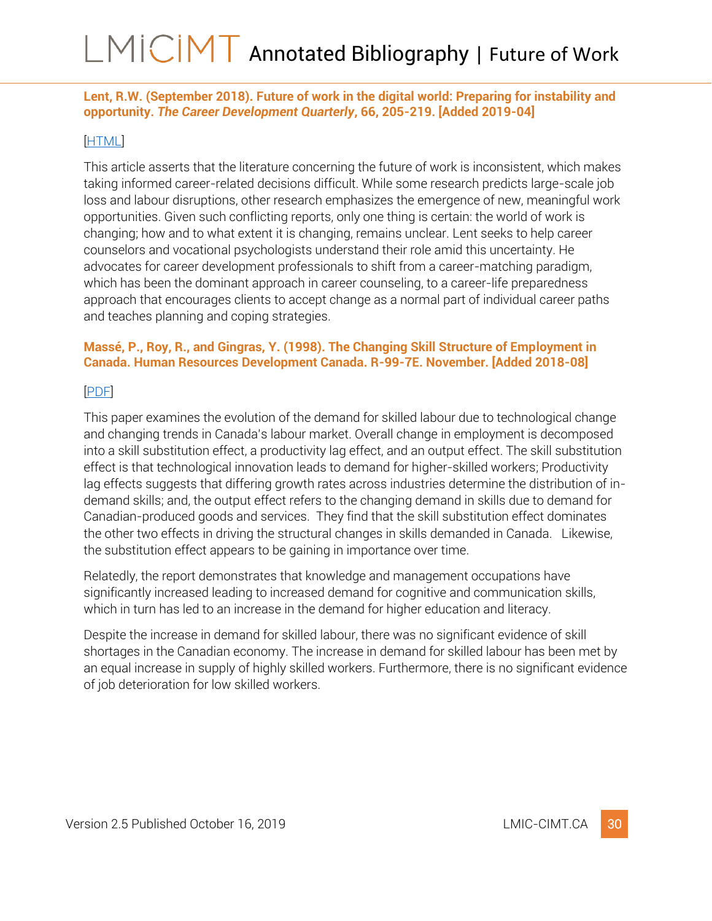<span id="page-30-0"></span>**Lent, R.W. (September 2018). Future of work in the digital world: Preparing for instability and opportunity.** *The Career Development Quarterly***, 66, 205-219. [Added 2019-04]**

#### [\[HTML\]](https://onlinelibrary.wiley.com/doi/full/10.1002/cdq.12143)

This article asserts that the literature concerning the future of work is inconsistent, which makes taking informed career-related decisions difficult. While some research predicts large-scale job loss and labour disruptions, other research emphasizes the emergence of new, meaningful work opportunities. Given such conflicting reports, only one thing is certain: the world of work is changing; how and to what extent it is changing, remains unclear. Lent seeks to help career counselors and vocational psychologists understand their role amid this uncertainty. He advocates for career development professionals to shift from a career-matching paradigm, which has been the dominant approach in career counseling, to a career-life preparedness approach that encourages clients to accept change as a normal part of individual career paths and teaches planning and coping strategies.

### <span id="page-30-1"></span>**Massé, P., Roy, R., and Gingras, Y. (1998). The Changing Skill Structure of Employment in Canada. Human Resources Development Canada. R-99-7E. November. [Added 2018-08]**

[\[PDF\]](http://bibvir1.uqac.ca/archivage/000869812.pdf)

This paper examines the evolution of the demand for skilled labour due to technological change and changing trends in Canada's labour market. Overall change in employment is decomposed into a skill substitution effect, a productivity lag effect, and an output effect. The skill substitution effect is that technological innovation leads to demand for higher-skilled workers; Productivity lag effects suggests that differing growth rates across industries determine the distribution of indemand skills; and, the output effect refers to the changing demand in skills due to demand for Canadian-produced goods and services. They find that the skill substitution effect dominates the other two effects in driving the structural changes in skills demanded in Canada. Likewise, the substitution effect appears to be gaining in importance over time.

Relatedly, the report demonstrates that knowledge and management occupations have significantly increased leading to increased demand for cognitive and communication skills, which in turn has led to an increase in the demand for higher education and literacy.

Despite the increase in demand for skilled labour, there was no significant evidence of skill shortages in the Canadian economy. The increase in demand for skilled labour has been met by an equal increase in supply of highly skilled workers. Furthermore, there is no significant evidence of job deterioration for low skilled workers.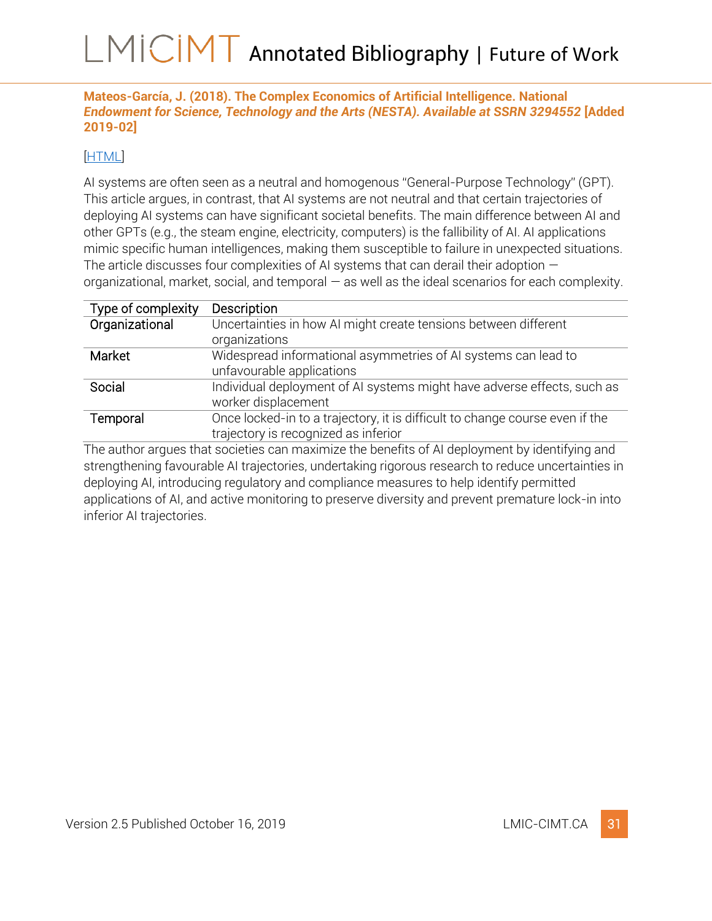<span id="page-31-0"></span>**Mateos-García, J. (2018). The Complex Economics of Artificial Intelligence. National**  *Endowment for Science, Technology and the Arts (NESTA). Available at SSRN 3294552* **[Added 2019-02]**

### [\[HTML\]](https://papers.ssrn.com/sol3/papers.cfm?abstract_id=3294552)

AI systems are often seen as a neutral and homogenous "General-Purpose Technology" (GPT). This article argues, in contrast, that AI systems are not neutral and that certain trajectories of deploying AI systems can have significant societal benefits. The main difference between AI and other GPTs (e.g., the steam engine, electricity, computers) is the fallibility of AI. AI applications mimic specific human intelligences, making them susceptible to failure in unexpected situations. The article discusses four complexities of AI systems that can derail their adoption  $$ organizational, market, social, and temporal — as well as the ideal scenarios for each complexity.

| Type of complexity | Description                                                                  |
|--------------------|------------------------------------------------------------------------------|
| Organizational     | Uncertainties in how AI might create tensions between different              |
|                    | organizations                                                                |
| Market             | Widespread informational asymmetries of AI systems can lead to               |
|                    | unfavourable applications                                                    |
| Social             | Individual deployment of AI systems might have adverse effects, such as      |
|                    | worker displacement                                                          |
| Temporal           | Once locked-in to a trajectory, it is difficult to change course even if the |
|                    | trajectory is recognized as inferior                                         |

The author argues that societies can maximize the benefits of AI deployment by identifying and strengthening favourable AI trajectories, undertaking rigorous research to reduce uncertainties in deploying AI, introducing regulatory and compliance measures to help identify permitted applications of AI, and active monitoring to preserve diversity and prevent premature lock-in into inferior AI trajectories.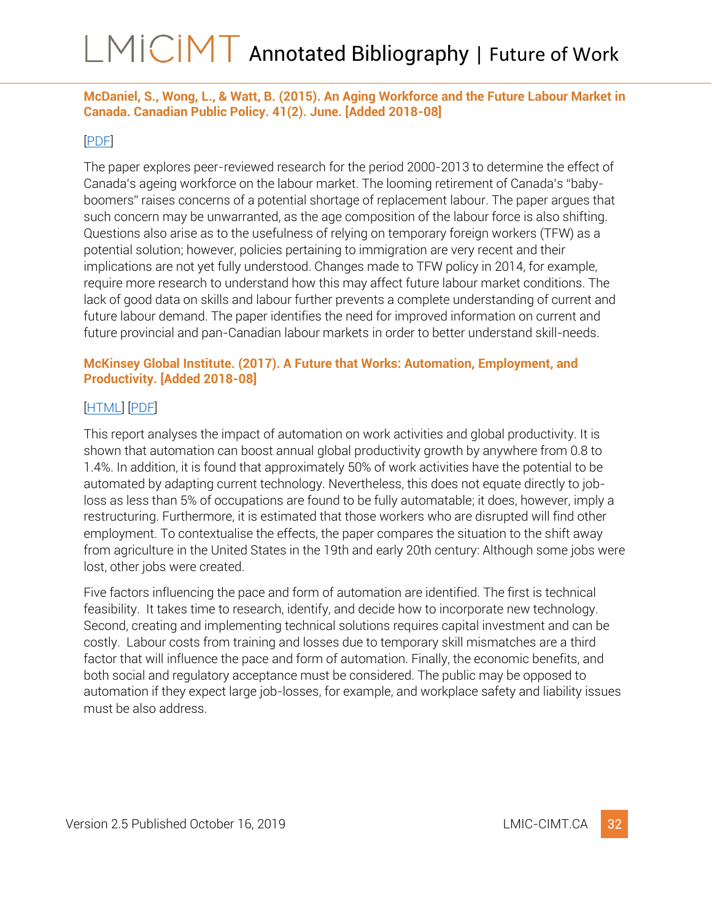### <span id="page-32-0"></span>**McDaniel, S., Wong, L., & Watt, B. (2015). An Aging Workforce and the Future Labour Market in Canada. Canadian Public Policy. 41(2). June. [Added 2018-08]**

### [\[PDF\]](https://www.utpjournals.press/doi/abs/10.3138/cpp.2014-057)

The paper explores peer-reviewed research for the period 2000-2013 to determine the effect of Canada's ageing workforce on the labour market. The looming retirement of Canada's "babyboomers" raises concerns of a potential shortage of replacement labour. The paper argues that such concern may be unwarranted, as the age composition of the labour force is also shifting. Questions also arise as to the usefulness of relying on temporary foreign workers (TFW) as a potential solution; however, policies pertaining to immigration are very recent and their implications are not yet fully understood. Changes made to TFW policy in 2014, for example, require more research to understand how this may affect future labour market conditions. The lack of good data on skills and labour further prevents a complete understanding of current and future labour demand. The paper identifies the need for improved information on current and future provincial and pan-Canadian labour markets in order to better understand skill-needs.

### <span id="page-32-1"></span>**McKinsey Global Institute. (2017). A Future that Works: Automation, Employment, and Productivity. [Added 2018-08]**

## [\[HTML\]](https://www.mckinsey.com/mgi/overview/2017-in-review/automation-and-the-future-of-work/a-future-that-works-automation-employment-and-productivity) [\[PDF\]](https://www.mckinsey.com/~/media/McKinsey/Featured%20Insights/Digital%20Disruption/Harnessing%20automation%20for%20a%20future%20that%20works/MGI-A-future-that-works_Full-report.ashx)

This report analyses the impact of automation on work activities and global productivity. It is shown that automation can boost annual global productivity growth by anywhere from 0.8 to 1.4%. In addition, it is found that approximately 50% of work activities have the potential to be automated by adapting current technology. Nevertheless, this does not equate directly to jobloss as less than 5% of occupations are found to be fully automatable; it does, however, imply a restructuring. Furthermore, it is estimated that those workers who are disrupted will find other employment. To contextualise the effects, the paper compares the situation to the shift away from agriculture in the United States in the 19th and early 20th century: Although some jobs were lost, other jobs were created.

Five factors influencing the pace and form of automation are identified. The first is technical feasibility. It takes time to research, identify, and decide how to incorporate new technology. Second, creating and implementing technical solutions requires capital investment and can be costly. Labour costs from training and losses due to temporary skill mismatches are a third factor that will influence the pace and form of automation. Finally, the economic benefits, and both social and regulatory acceptance must be considered. The public may be opposed to automation if they expect large job-losses, for example, and workplace safety and liability issues must be also address.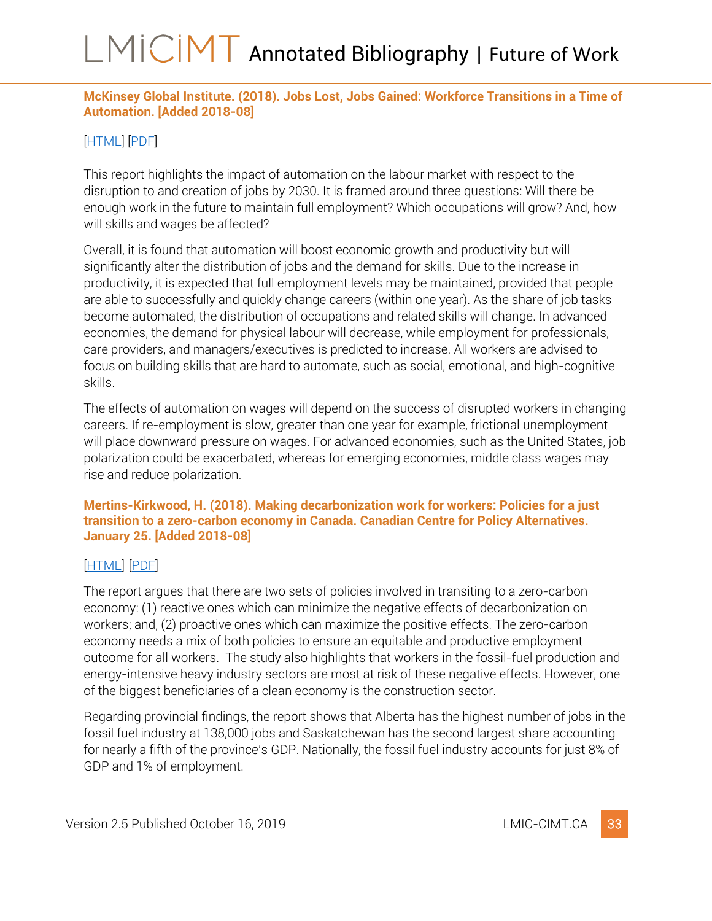### <span id="page-33-0"></span>**McKinsey Global Institute. (2018). Jobs Lost, Jobs Gained: Workforce Transitions in a Time of Automation. [Added 2018-08]**

### [\[HTML\]](https://www.mckinsey.com/mgi/overview/2017-in-review/automation-and-the-future-of-work/jobs-lost-jobs-gained-workforce-transitions-in-a-time-of-automation) [\[PDF\]](https://www.mckinsey.com/~/media/McKinsey/Featured%20Insights/Future%20of%20Organizations/What%20the%20future%20of%20work%20will%20mean%20for%20jobs%20skills%20and%20wages/MGI-Jobs-Lost-Jobs-Gained-Report-December-6-2017.ashx)

This report highlights the impact of automation on the labour market with respect to the disruption to and creation of jobs by 2030. It is framed around three questions: Will there be enough work in the future to maintain full employment? Which occupations will grow? And, how will skills and wages be affected?

Overall, it is found that automation will boost economic growth and productivity but will significantly alter the distribution of jobs and the demand for skills. Due to the increase in productivity, it is expected that full employment levels may be maintained, provided that people are able to successfully and quickly change careers (within one year). As the share of job tasks become automated, the distribution of occupations and related skills will change. In advanced economies, the demand for physical labour will decrease, while employment for professionals, care providers, and managers/executives is predicted to increase. All workers are advised to focus on building skills that are hard to automate, such as social, emotional, and high-cognitive skills.

The effects of automation on wages will depend on the success of disrupted workers in changing careers. If re-employment is slow, greater than one year for example, frictional unemployment will place downward pressure on wages. For advanced economies, such as the United States, job polarization could be exacerbated, whereas for emerging economies, middle class wages may rise and reduce polarization.

<span id="page-33-1"></span>**Mertins-Kirkwood, H. (2018). Making decarbonization work for workers: Policies for a just transition to a zero-carbon economy in Canada. Canadian Centre for Policy Alternatives. January 25. [Added 2018-08]**

### [\[HTML\]](https://www.policyalternatives.ca/publications/reports/making-decarbonization-work-workers) [\[PDF\]](https://www.policyalternatives.ca/sites/default/files/uploads/publications/National%20Office/2018/01/Making%20Decarbonization%20Work.pdf)

The report argues that there are two sets of policies involved in transiting to a zero-carbon economy: (1) reactive ones which can minimize the negative effects of decarbonization on workers; and, (2) proactive ones which can maximize the positive effects. The zero-carbon economy needs a mix of both policies to ensure an equitable and productive employment outcome for all workers. The study also highlights that workers in the fossil-fuel production and energy-intensive heavy industry sectors are most at risk of these negative effects. However, one of the biggest beneficiaries of a clean economy is the construction sector.

Regarding provincial findings, the report shows that Alberta has the highest number of jobs in the fossil fuel industry at 138,000 jobs and Saskatchewan has the second largest share accounting for nearly a fifth of the province's GDP. Nationally, the fossil fuel industry accounts for just 8% of GDP and 1% of employment.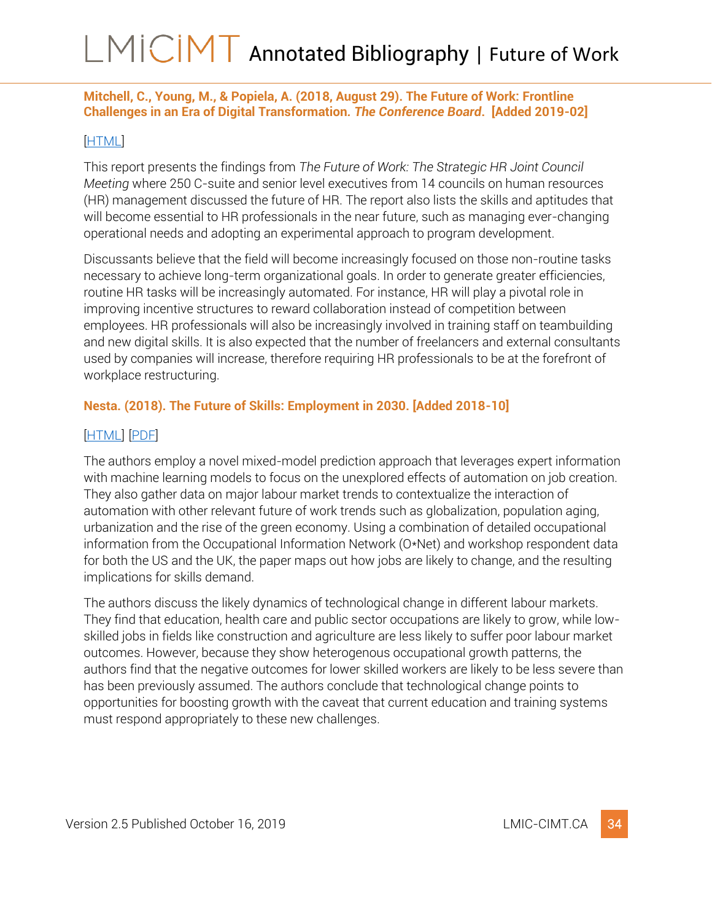### <span id="page-34-0"></span>**Mitchell, C., Young, M., & Popiela, A. (2018, August 29). The Future of Work: Frontline Challenges in an Era of Digital Transformation***. The Conference Board***. [Added 2019-02]**

#### [\[HTML\]](https://www.conferenceboard.ca/e-Library/abstract.aspx?did=9887&AspxAutoDetectCookieSupport=1)

This report presents the findings from *The Future of Work: The Strategic HR Joint Council Meeting* where 250 C-suite and senior level executives from 14 councils on human resources (HR) management discussed the future of HR. The report also lists the skills and aptitudes that will become essential to HR professionals in the near future, such as managing ever-changing operational needs and adopting an experimental approach to program development.

Discussants believe that the field will become increasingly focused on those non-routine tasks necessary to achieve long-term organizational goals. In order to generate greater efficiencies, routine HR tasks will be increasingly automated. For instance, HR will play a pivotal role in improving incentive structures to reward collaboration instead of competition between employees. HR professionals will also be increasingly involved in training staff on teambuilding and new digital skills. It is also expected that the number of freelancers and external consultants used by companies will increase, therefore requiring HR professionals to be at the forefront of workplace restructuring.

### <span id="page-34-1"></span>**Nesta. (2018). The Future of Skills: Employment in 2030. [Added 2018-10]**

### [\[HTML\]](https://www.nesta.org.uk/report/the-future-of-skills-employment-in-2030/) [\[PDF\]](https://media.nesta.org.uk/documents/the_future_of_skills_employment_in_2030_0.pdf)

The authors employ a novel mixed-model prediction approach that leverages expert information with machine learning models to focus on the unexplored effects of automation on job creation. They also gather data on major labour market trends to contextualize the interaction of automation with other relevant future of work trends such as globalization, population aging, urbanization and the rise of the green economy. Using a combination of detailed occupational information from the Occupational Information Network (O\*Net) and workshop respondent data for both the US and the UK, the paper maps out how jobs are likely to change, and the resulting implications for skills demand.

The authors discuss the likely dynamics of technological change in different labour markets. They find that education, health care and public sector occupations are likely to grow, while lowskilled jobs in fields like construction and agriculture are less likely to suffer poor labour market outcomes. However, because they show heterogenous occupational growth patterns, the authors find that the negative outcomes for lower skilled workers are likely to be less severe than has been previously assumed. The authors conclude that technological change points to opportunities for boosting growth with the caveat that current education and training systems must respond appropriately to these new challenges.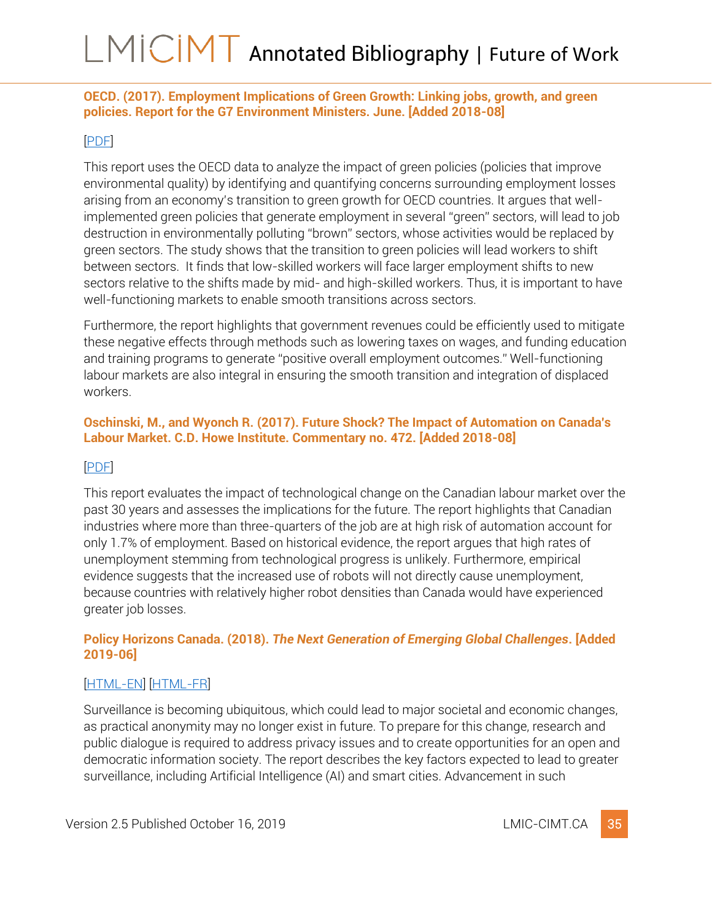### <span id="page-35-0"></span>**OECD. (2017). Employment Implications of Green Growth: Linking jobs, growth, and green policies. Report for the G7 Environment Ministers. June. [Added 2018-08]**

#### [\[PDF\]](https://www.oecd.org/environment/Employment-Implications-of-Green-Growth-OECD-Report-G7-Environment-Ministers.pdf)

This report uses the OECD data to analyze the impact of green policies (policies that improve environmental quality) by identifying and quantifying concerns surrounding employment losses arising from an economy's transition to green growth for OECD countries. It argues that wellimplemented green policies that generate employment in several "green" sectors, will lead to job destruction in environmentally polluting "brown" sectors, whose activities would be replaced by green sectors. The study shows that the transition to green policies will lead workers to shift between sectors. It finds that low-skilled workers will face larger employment shifts to new sectors relative to the shifts made by mid- and high-skilled workers. Thus, it is important to have well-functioning markets to enable smooth transitions across sectors.

Furthermore, the report highlights that government revenues could be efficiently used to mitigate these negative effects through methods such as lowering taxes on wages, and funding education and training programs to generate "positive overall employment outcomes." Well-functioning labour markets are also integral in ensuring the smooth transition and integration of displaced workers.

### <span id="page-35-1"></span>**Oschinski, M., and Wyonch R. (2017). Future Shock? The Impact of Automation on Canada's Labour Market. C.D. Howe Institute. Commentary no. 472. [Added 2018-08]**

#### [\[PDF\]](https://www.cdhowe.org/sites/default/files/attachments/research_papers/mixed/Update_Commentary%20472%20web.pdf)

This report evaluates the impact of technological change on the Canadian labour market over the past 30 years and assesses the implications for the future. The report highlights that Canadian industries where more than three-quarters of the job are at high risk of automation account for only 1.7% of employment. Based on historical evidence, the report argues that high rates of unemployment stemming from technological progress is unlikely. Furthermore, empirical evidence suggests that the increased use of robots will not directly cause unemployment, because countries with relatively higher robot densities than Canada would have experienced greater job losses.

#### <span id="page-35-2"></span>**Policy Horizons Canada. (2018).** *The Next Generation of Emerging Global Challenges***. [Added 2019-06]**

### [\[HTML-EN\]](https://horizons.gc.ca/en/2018/10/19/the-next-generation-of-emerging-global-challenges/) [\[HTML-FR\]](https://horizons.gc.ca/fr/2018/10/19/la-prochaine-generation-denjeux-mondiaux-emergents/)

Surveillance is becoming ubiquitous, which could lead to major societal and economic changes, as practical anonymity may no longer exist in future. To prepare for this change, research and public dialogue is required to address privacy issues and to create opportunities for an open and democratic information society. The report describes the key factors expected to lead to greater surveillance, including Artificial Intelligence (AI) and smart cities. Advancement in such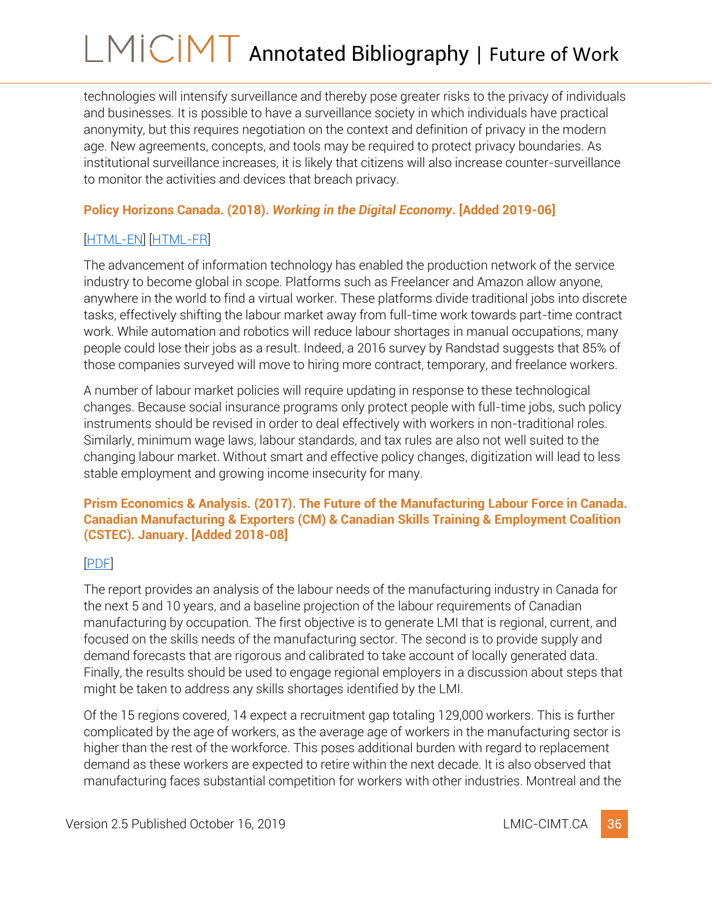technologies will intensify surveillance and thereby pose greater risks to the privacy of individuals and businesses. It is possible to have a surveillance society in which individuals have practical anonymity, but this requires negotiation on the context and definition of privacy in the modern age. New agreements, concepts, and tools may be required to protect privacy boundaries. As institutional surveillance increases, it is likely that citizens will also increase counter-surveillance to monitor the activities and devices that breach privacy.

### <span id="page-36-0"></span>**Policy Horizons Canada. (2018).** *Working in the Digital Economy***. [Added 2019-06]**

## [\[HTML-EN\]](https://horizons.gc.ca/en/2018/10/19/the-next-generation-of-emerging-global-challenges/#working-in-the-digital-economy) [\[HTML-FR\]](https://horizons.gc.ca/fr/2018/10/19/la-prochaine-generation-denjeux-mondiaux-emergents/#le-travail)

The advancement of information technology has enabled the production network of the service industry to become global in scope. Platforms such as Freelancer and Amazon allow anyone, anywhere in the world to find a virtual worker. These platforms divide traditional jobs into discrete tasks, effectively shifting the labour market away from full-time work towards part-time contract work. While automation and robotics will reduce labour shortages in manual occupations, many people could lose their jobs as a result. Indeed, a 2016 survey by Randstad suggests that 85% of those companies surveyed will move to hiring more contract, temporary, and freelance workers.

A number of labour market policies will require updating in response to these technological changes. Because social insurance programs only protect people with full-time jobs, such policy instruments should be revised in order to deal effectively with workers in non-traditional roles. Similarly, minimum wage laws, labour standards, and tax rules are also not well suited to the changing labour market. Without smart and effective policy changes, digitization will lead to less stable employment and growing income insecurity for many.

#### <span id="page-36-1"></span>**Prism Economics & Analysis. (2017). The Future of the Manufacturing Labour Force in Canada. Canadian Manufacturing & Exporters (CM) & Canadian Skills Training & Employment Coalition (CSTEC). January. [Added 2018-08]**

### [\[PDF\]](http://cstec.ca/sites/cstec/files/reports/The%20Future%20of%20the%20Manufacturing%20Labour%20Force%20in%20Canada.pdf)

The report provides an analysis of the labour needs of the manufacturing industry in Canada for the next 5 and 10 years, and a baseline projection of the labour requirements of Canadian manufacturing by occupation. The first objective is to generate LMI that is regional, current, and focused on the skills needs of the manufacturing sector. The second is to provide supply and demand forecasts that are rigorous and calibrated to take account of locally generated data. Finally, the results should be used to engage regional employers in a discussion about steps that might be taken to address any skills shortages identified by the LMI.

Of the 15 regions covered, 14 expect a recruitment gap totaling 129,000 workers. This is further complicated by the age of workers, as the average age of workers in the manufacturing sector is higher than the rest of the workforce. This poses additional burden with regard to replacement demand as these workers are expected to retire within the next decade. It is also observed that manufacturing faces substantial competition for workers with other industries. Montreal and the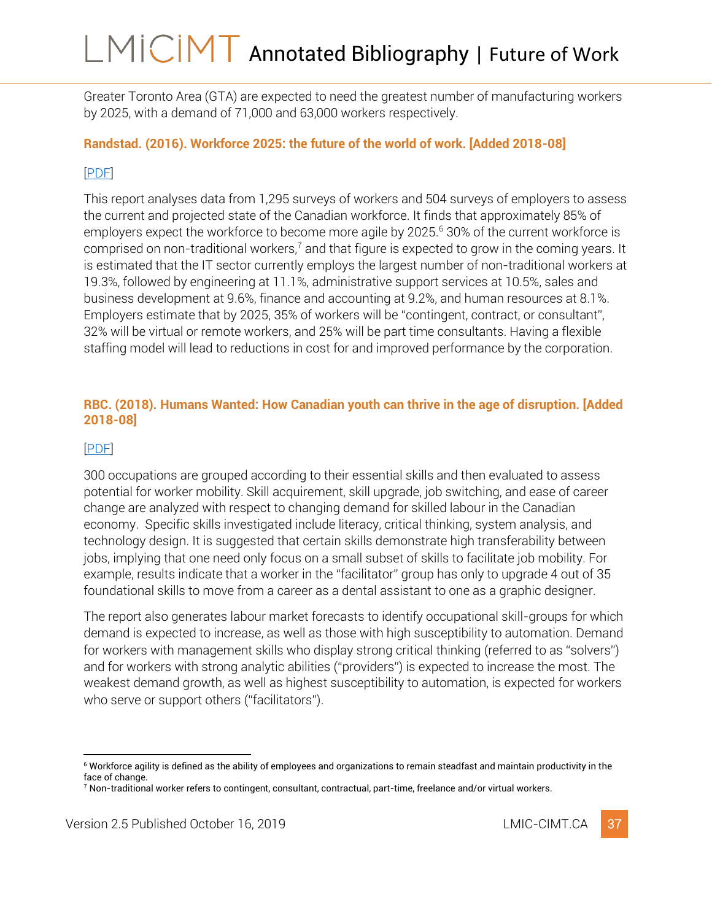Greater Toronto Area (GTA) are expected to need the greatest number of manufacturing workers by 2025, with a demand of 71,000 and 63,000 workers respectively.

### <span id="page-37-0"></span>**Randstad. (2016). Workforce 2025: the future of the world of work. [Added 2018-08]**

### [\[PDF\]](http://content.randstad.ca/hubfs/workforce2025/Workforce-2025-Randstad-Part1.pdf)

This report analyses data from 1,295 surveys of workers and 504 surveys of employers to assess the current and projected state of the Canadian workforce. It finds that approximately 85% of employers expect the workforce to become more agile by 2025.<sup>6</sup> 30% of the current workforce is comprised on non-traditional workers,<sup>7</sup> and that figure is expected to grow in the coming years. It is estimated that the IT sector currently employs the largest number of non-traditional workers at 19.3%, followed by engineering at 11.1%, administrative support services at 10.5%, sales and business development at 9.6%, finance and accounting at 9.2%, and human resources at 8.1%. Employers estimate that by 2025, 35% of workers will be "contingent, contract, or consultant", 32% will be virtual or remote workers, and 25% will be part time consultants. Having a flexible staffing model will lead to reductions in cost for and improved performance by the corporation.

#### <span id="page-37-1"></span>**RBC. (2018). Humans Wanted: How Canadian youth can thrive in the age of disruption. [Added 2018-08]**

### [\[PDF\]](https://www.rbc.com/dms/enterprise/futurelaunch/_assets-custom/pdf/RBC-Future-Skills-Report-FINAL-Singles.pdf)

300 occupations are grouped according to their essential skills and then evaluated to assess potential for worker mobility. Skill acquirement, skill upgrade, job switching, and ease of career change are analyzed with respect to changing demand for skilled labour in the Canadian economy. Specific skills investigated include literacy, critical thinking, system analysis, and technology design. It is suggested that certain skills demonstrate high transferability between jobs, implying that one need only focus on a small subset of skills to facilitate job mobility. For example, results indicate that a worker in the "facilitator" group has only to upgrade 4 out of 35 foundational skills to move from a career as a dental assistant to one as a graphic designer.

The report also generates labour market forecasts to identify occupational skill-groups for which demand is expected to increase, as well as those with high susceptibility to automation. Demand for workers with management skills who display strong critical thinking (referred to as "solvers") and for workers with strong analytic abilities ("providers") is expected to increase the most. The weakest demand growth, as well as highest susceptibility to automation, is expected for workers who serve or support others ("facilitators").

<sup>6</sup> Workforce agility is defined as the ability of employees and organizations to remain steadfast and maintain productivity in the face of change.

<sup>7</sup> Non-traditional worker refers to contingent, consultant, contractual, part-time, freelance and/or virtual workers.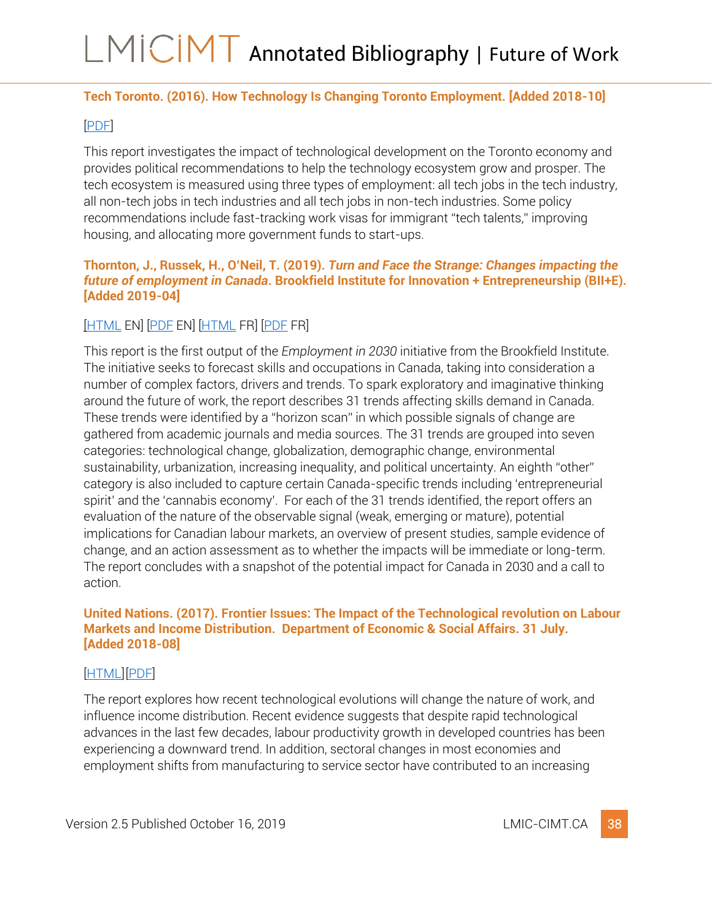### <span id="page-38-0"></span>**Tech Toronto. (2016). How Technology Is Changing Toronto Employment. [Added 2018-10]**

### [\[PDF\]](https://techtoronto.org/Report2016/images/TechTO_Report2016.pdf)

This report investigates the impact of technological development on the Toronto economy and provides political recommendations to help the technology ecosystem grow and prosper. The tech ecosystem is measured using three types of employment: all tech jobs in the tech industry, all non-tech jobs in tech industries and all tech jobs in non-tech industries. Some policy recommendations include fast-tracking work visas for immigrant "tech talents," improving housing, and allocating more government funds to start-ups.

#### <span id="page-38-1"></span>**Thornton, J., Russek, H., O'Neil, T. (2019).** *Turn and Face the Strange: Changes impacting the future of employment in Canada***. Brookfield Institute for Innovation + Entrepreneurship (BII+E). [Added 2019-04]**

### [\[HTML](https://brookfieldinstitute.ca/report/turn-and-face-the-strange-changes-impacting-the-future-of-employment-in-canada/) EN] [\[PDF](https://brookfieldinstitute.ca/wp-content/uploads/Turn-and-Face-the-Strange-FINAL-online.pdf) EN] [\[HTML](https://brookfieldinstitute.ca/report/cest-le-debut-dun-temps-nouveau-changements-ayant-une-incidence-sur-lavenir-de-lemploi-au-canada/) FR] [\[PDF](https://brookfieldinstitute.ca/wp-content/uploads/FR_Turn-and-Face-the-Strange-ONLINE.pdf) FR]

This report is the first output of the *Employment in 2030* initiative from the Brookfield Institute. The initiative seeks to forecast skills and occupations in Canada, taking into consideration a number of complex factors, drivers and trends. To spark exploratory and imaginative thinking around the future of work, the report describes 31 trends affecting skills demand in Canada. These trends were identified by a "horizon scan" in which possible signals of change are gathered from academic journals and media sources. The 31 trends are grouped into seven categories: technological change, globalization, demographic change, environmental sustainability, urbanization, increasing inequality, and political uncertainty. An eighth "other" category is also included to capture certain Canada-specific trends including 'entrepreneurial spirit' and the 'cannabis economy'. For each of the 31 trends identified, the report offers an evaluation of the nature of the observable signal (weak, emerging or mature), potential implications for Canadian labour markets, an overview of present studies, sample evidence of change, and an action assessment as to whether the impacts will be immediate or long-term. The report concludes with a snapshot of the potential impact for Canada in 2030 and a call to action.

#### <span id="page-38-2"></span>**United Nations. (2017). Frontier Issues: The Impact of the Technological revolution on Labour Markets and Income Distribution. Department of Economic & Social Affairs. 31 July. [Added 2018-08]**

#### [\[HTML\]](https://www.un.org/development/desa/dpad/publication/frontier-issues-artificial-intelligence-and-other-technologies-will-define-the-future-of-jobs-and-incomes/)[\[PDF\]](https://www.un.org/development/desa/dpad/wp-content/uploads/sites/45/publication/2017_Aug_Frontier-Issues-1.pdf)

The report explores how recent technological evolutions will change the nature of work, and influence income distribution. Recent evidence suggests that despite rapid technological advances in the last few decades, labour productivity growth in developed countries has been experiencing a downward trend. In addition, sectoral changes in most economies and employment shifts from manufacturing to service sector have contributed to an increasing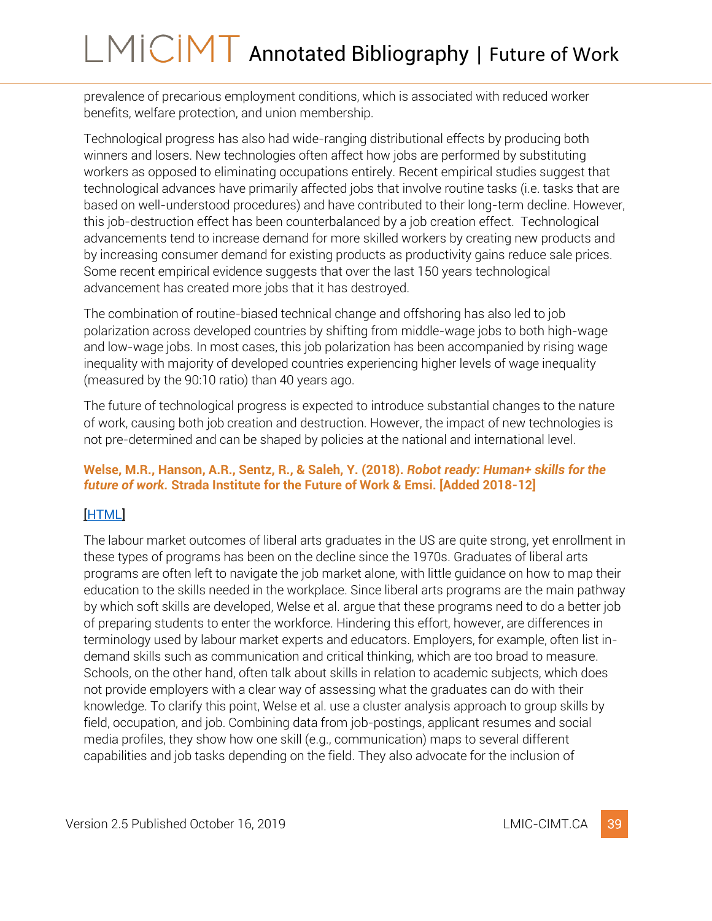prevalence of precarious employment conditions, which is associated with reduced worker benefits, welfare protection, and union membership.

Technological progress has also had wide-ranging distributional effects by producing both winners and losers. New technologies often affect how jobs are performed by substituting workers as opposed to eliminating occupations entirely. Recent empirical studies suggest that technological advances have primarily affected jobs that involve routine tasks (i.e. tasks that are based on well-understood procedures) and have contributed to their long-term decline. However, this job-destruction effect has been counterbalanced by a job creation effect. Technological advancements tend to increase demand for more skilled workers by creating new products and by increasing consumer demand for existing products as productivity gains reduce sale prices. Some recent empirical evidence suggests that over the last 150 years technological advancement has created more jobs that it has destroyed.

The combination of routine-biased technical change and offshoring has also led to job polarization across developed countries by shifting from middle-wage jobs to both high-wage and low-wage jobs. In most cases, this job polarization has been accompanied by rising wage inequality with majority of developed countries experiencing higher levels of wage inequality (measured by the 90:10 ratio) than 40 years ago.

The future of technological progress is expected to introduce substantial changes to the nature of work, causing both job creation and destruction. However, the impact of new technologies is not pre-determined and can be shaped by policies at the national and international level.

### <span id="page-39-0"></span>**Welse, M.R., Hanson, A.R., Sentz, R., & Saleh, Y. (2018).** *Robot ready: Human+ skills for the future of work.* **Strada Institute for the Future of Work & Emsi. [Added 2018-12]**

### [\[HTML\]](https://www.economicmodeling.com/robot-ready/)

The labour market outcomes of liberal arts graduates in the US are quite strong, yet enrollment in these types of programs has been on the decline since the 1970s. Graduates of liberal arts programs are often left to navigate the job market alone, with little guidance on how to map their education to the skills needed in the workplace. Since liberal arts programs are the main pathway by which soft skills are developed, Welse et al. argue that these programs need to do a better job of preparing students to enter the workforce. Hindering this effort, however, are differences in terminology used by labour market experts and educators. Employers, for example, often list indemand skills such as communication and critical thinking, which are too broad to measure. Schools, on the other hand, often talk about skills in relation to academic subjects, which does not provide employers with a clear way of assessing what the graduates can do with their knowledge. To clarify this point, Welse et al. use a cluster analysis approach to group skills by field, occupation, and job. Combining data from job-postings, applicant resumes and social media profiles, they show how one skill (e.g., communication) maps to several different capabilities and job tasks depending on the field. They also advocate for the inclusion of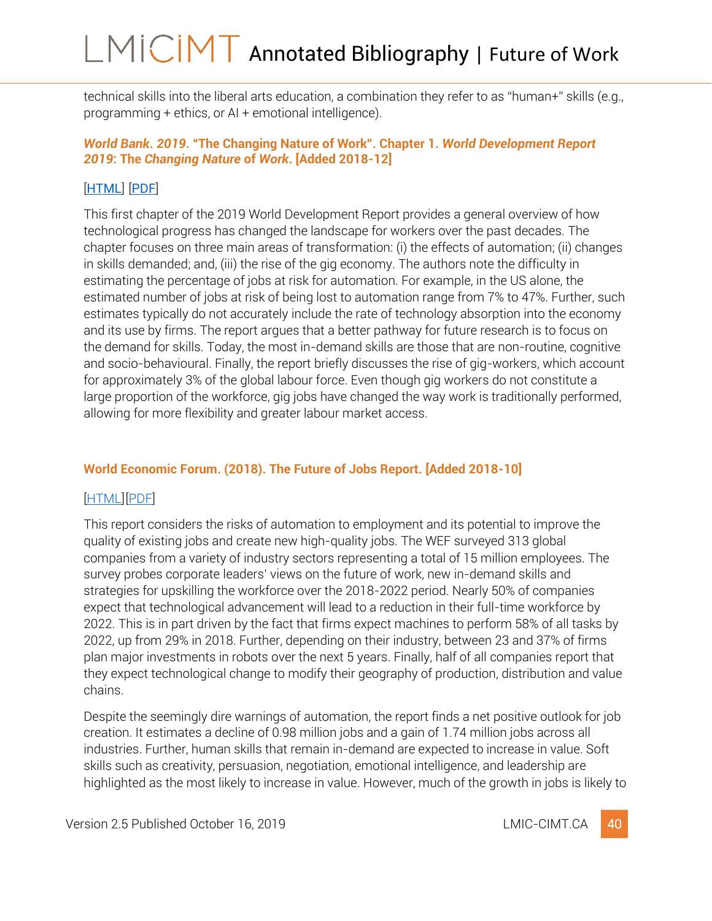technical skills into the liberal arts education, a combination they refer to as "human+" skills (e.g., programming + ethics, or AI + emotional intelligence).

### <span id="page-40-0"></span>*World Bank***.** *2019***. "The Changing Nature of Work". Chapter 1.** *World Development Report 2019***: The** *Changing Nature* **of** *Work***. [Added 2018-12]**

### [[HTML](http://www.worldbank.org/en/publication/wdr2019)] [[PDF](http://documents.worldbank.org/curated/en/816281518818814423/2019-WDR-Report.pdf)]

This first chapter of the 2019 World Development Report provides a general overview of how technological progress has changed the landscape for workers over the past decades. The chapter focuses on three main areas of transformation: (i) the effects of automation; (ii) changes in skills demanded; and, (iii) the rise of the gig economy. The authors note the difficulty in estimating the percentage of jobs at risk for automation. For example, in the US alone, the estimated number of jobs at risk of being lost to automation range from 7% to 47%. Further, such estimates typically do not accurately include the rate of technology absorption into the economy and its use by firms. The report argues that a better pathway for future research is to focus on the demand for skills. Today, the most in-demand skills are those that are non-routine, cognitive and socio-behavioural. Finally, the report briefly discusses the rise of gig-workers, which account for approximately 3% of the global labour force. Even though gig workers do not constitute a large proportion of the workforce, gig jobs have changed the way work is traditionally performed, allowing for more flexibility and greater labour market access.

### <span id="page-40-1"></span>**World Economic Forum. (2018). The Future of Jobs Report. [Added 2018-10]**

### [\[HTML\]](https://fr.weforum.org/reports/the-future-of-jobs-report-2018)[\[PDF\]](https://media.nesta.org.uk/documents/the_future_of_skills_employment_in_2030_0.pdf)

This report considers the risks of automation to employment and its potential to improve the quality of existing jobs and create new high-quality jobs. The WEF surveyed 313 global companies from a variety of industry sectors representing a total of 15 million employees. The survey probes corporate leaders' views on the future of work, new in-demand skills and strategies for upskilling the workforce over the 2018-2022 period. Nearly 50% of companies expect that technological advancement will lead to a reduction in their full-time workforce by 2022. This is in part driven by the fact that firms expect machines to perform 58% of all tasks by 2022, up from 29% in 2018. Further, depending on their industry, between 23 and 37% of firms plan major investments in robots over the next 5 years. Finally, half of all companies report that they expect technological change to modify their geography of production, distribution and value chains.

Despite the seemingly dire warnings of automation, the report finds a net positive outlook for job creation. It estimates a decline of 0.98 million jobs and a gain of 1.74 million jobs across all industries. Further, human skills that remain in-demand are expected to increase in value. Soft skills such as creativity, persuasion, negotiation, emotional intelligence, and leadership are highlighted as the most likely to increase in value. However, much of the growth in jobs is likely to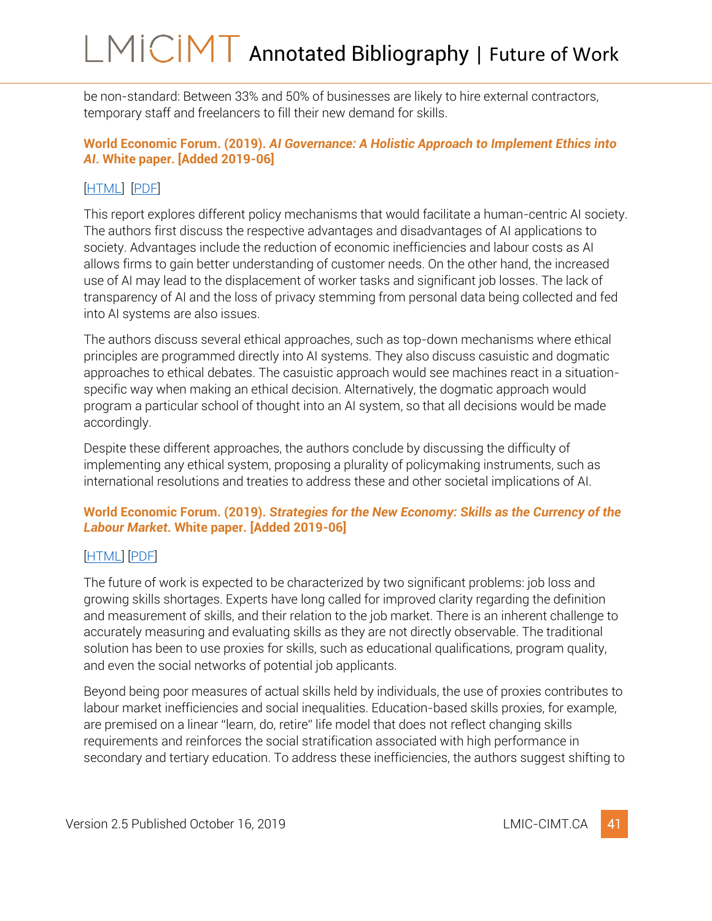be non-standard: Between 33% and 50% of businesses are likely to hire external contractors, temporary staff and freelancers to fill their new demand for skills.

### <span id="page-41-0"></span>**World Economic Forum. (2019).** *AI Governance: A Holistic Approach to Implement Ethics into AI***. White paper. [Added 2019-06]**

### [\[HTML\]](https://www.weforum.org/whitepapers/ai-governance-a-holistic-approach-to-implement-ethics-into-ai) [\[PDF\]](https://weforum.my.salesforce.com/sfc/p/#b0000000GycE/a/0X000000cPl1/i.8ZWL2HIR_kAnvckyqVA.nVVgrWIS4LCM1ueGy.gBc)

This report explores different policy mechanisms that would facilitate a human-centric AI society. The authors first discuss the respective advantages and disadvantages of AI applications to society. Advantages include the reduction of economic inefficiencies and labour costs as AI allows firms to gain better understanding of customer needs. On the other hand, the increased use of AI may lead to the displacement of worker tasks and significant job losses. The lack of transparency of AI and the loss of privacy stemming from personal data being collected and fed into AI systems are also issues.

The authors discuss several ethical approaches, such as top-down mechanisms where ethical principles are programmed directly into AI systems. They also discuss casuistic and dogmatic approaches to ethical debates. The casuistic approach would see machines react in a situationspecific way when making an ethical decision. Alternatively, the dogmatic approach would program a particular school of thought into an AI system, so that all decisions would be made accordingly.

Despite these different approaches, the authors conclude by discussing the difficulty of implementing any ethical system, proposing a plurality of policymaking instruments, such as international resolutions and treaties to address these and other societal implications of AI.

### <span id="page-41-1"></span>**World Economic Forum. (2019).** *Strategies for the New Economy: Skills as the Currency of the Labour Market***. White paper. [Added 2019-06]**

### [\[HTML\]](https://www.weforum.org/whitepapers/strategies-for-the-new-economy-skills-as-the-currency-of-the-labour-market) [\[PDF\]](http://www3.weforum.org/docs/WEF_2019_Strategies_for_the_New_Economy_Skills.pdf)

The future of work is expected to be characterized by two significant problems: job loss and growing skills shortages. Experts have long called for improved clarity regarding the definition and measurement of skills, and their relation to the job market. There is an inherent challenge to accurately measuring and evaluating skills as they are not directly observable. The traditional solution has been to use proxies for skills, such as educational qualifications, program quality, and even the social networks of potential job applicants.

Beyond being poor measures of actual skills held by individuals, the use of proxies contributes to labour market inefficiencies and social inequalities. Education-based skills proxies, for example, are premised on a linear "learn, do, retire" life model that does not reflect changing skills requirements and reinforces the social stratification associated with high performance in secondary and tertiary education. To address these inefficiencies, the authors suggest shifting to